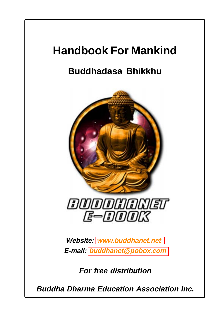# **Handbook For Mankind**

#### **Buddhadasa Bhikkhu**



**Website: [www.buddhanet.net](http://www.buddhanet.net) E-mail: [buddhanet@pobox.com](http://www.buddhanet.net/email.htm)**

**For free distribution**

**Buddha Dharma Education Association Inc.**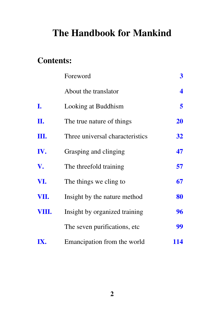#### **The Handbook for Mankind**

#### **Contents:**

|                        | Foreword                        | $\boldsymbol{3}$ |
|------------------------|---------------------------------|------------------|
|                        | About the translator            | 4                |
| I.                     | Looking at Buddhism             | 5                |
| П.                     | The true nature of things       | <b>20</b>        |
| Ш.                     | Three universal characteristics | 32               |
| IV.                    | Grasping and clinging           | 47               |
| $\mathbf{V}_{\bullet}$ | The threefold training          | 57               |
| VI.                    | The things we cling to          | 67               |
| VII.                   | Insight by the nature method    | 80               |
| VIII.                  | Insight by organized training   | 96               |
|                        | The seven purifications, etc.   | 99               |
| IX.                    | Emancipation from the world     | 114              |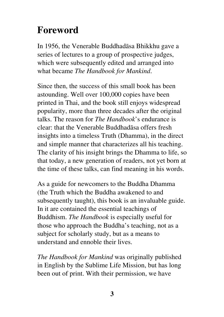#### <span id="page-2-0"></span>**Foreword**

In 1956, the Venerable Buddhadāsa Bhikkhu gave a series of lectures to a group of prospective judges, which were subsequently edited and arranged into what became *The Handbook for Mankind*.

Since then, the success of this small book has been astounding. Well over 100,000 copies have been printed in Thai, and the book still enjoys widespread popularity, more than three decades after the original talks. The reason for *The Handbook*'s endurance is clear: that the Venerable Buddhadāsa offers fresh insights into a timeless Truth (Dhamma), in the direct and simple manner that characterizes all his teaching. The clarity of his insight brings the Dhamma to life, so that today, a new generation of readers, not yet born at the time of these talks, can find meaning in his words.

As a guide for newcomers to the Buddha Dhamma (the Truth which the Buddha awakened to and subsequently taught), this book is an invaluable guide. In it are contained the essential teachings of Buddhism. *The Handbook* is especially useful for those who approach the Buddha's teaching, not as a subject for scholarly study, but as a means to understand and ennoble their lives.

*The Handbook for Mankind* was originally published in English by the Sublime Life Mission, but has long been out of print. With their permission, we have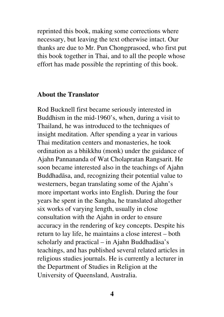<span id="page-3-0"></span>reprinted this book, making some corrections where necessary, but leaving the text otherwise intact. Our thanks are due to Mr. Pun Chongprasoed, who first put this book together in Thai, and to all the people whose effort has made possible the reprinting of this book.

#### **About the Translator**

Rod Bucknell first became seriously interested in Buddhism in the mid-1960's, when, during a visit to Thailand, he was introduced to the techniques of insight meditation. After spending a year in various Thai meditation centers and monasteries, he took ordination as a bhikkhu (monk) under the guidance of Ajahn Pannananda of Wat Cholapratan Rangsarit. He soon became interested also in the teachings of Ajahn Buddhadāsa, and, recognizing their potential value to westerners, began translating some of the Ajahn's more important works into English. During the four years he spent in the Sangha, he translated altogether six works of varying length, usually in close consultation with the Ajahn in order to ensure accuracy in the rendering of key concepts. Despite his return to lay life, he maintains a close interest – both scholarly and practical – in Ajahn Buddhadāsa's teachings, and has published several related articles in religious studies journals. He is currently a lecturer in the Department of Studies in Religion at the University of Queensland, Australia.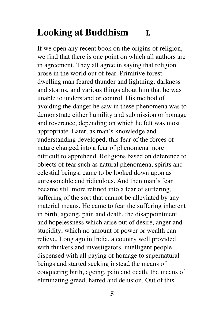#### <span id="page-4-0"></span>**Looking at Buddhism I.**

If we open any recent book on the origins of religion, we find that there is one point on which all authors are in agreement. They all agree in saying that religion arose in the world out of fear. Primitive forestdwelling man feared thunder and lightning, darkness and storms, and various things about him that he was unable to understand or control. His method of avoiding the danger he saw in these phenomena was to demonstrate either humility and submission or homage and reverence, depending on which he felt was most appropriate. Later, as man's knowledge and understanding developed, this fear of the forces of nature changed into a fear of phenomena more difficult to apprehend. Religions based on deference to objects of fear such as natural phenomena, spirits and celestial beings, came to be looked down upon as unreasonable and ridiculous. And then man's fear became still more refined into a fear of suffering, suffering of the sort that cannot be alleviated by any material means. He came to fear the suffering inherent in birth, ageing, pain and death, the disappointment and hopelessness which arise out of desire, anger and stupidity, which no amount of power or wealth can relieve. Long ago in India, a country well provided with thinkers and investigators, intelligent people dispensed with all paying of homage to supernatural beings and started seeking instead the means of conquering birth, ageing, pain and death, the means of eliminating greed, hatred and delusion. Out of this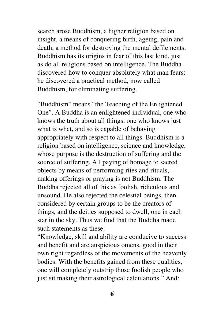search arose Buddhism, a higher religion based on insight, a means of conquering birth, ageing, pain and death, a method for destroying the mental defilements. Buddhism has its origins in fear of this last kind, just as do all religions based on intelligence. The Buddha discovered how to conquer absolutely what man fears: he discovered a practical method, now called Buddhism, for eliminating suffering.

"Buddhism" means "the Teaching of the Enlightened One". A Buddha is an enlightened individual, one who knows the truth about all things, one who knows just what is what, and so is capable of behaving appropriately with respect to all things. Buddhism is a religion based on intelligence, science and knowledge, whose purpose is the destruction of suffering and the source of suffering. All paying of homage to sacred objects by means of performing rites and rituals, making offerings or praying is not Buddhism. The Buddha rejected all of this as foolish, ridiculous and unsound. He also rejected the celestial beings, then considered by certain groups to be the creators of things, and the deities supposed to dwell, one in each star in the sky. Thus we find that the Buddha made such statements as these:

"Knowledge, skill and ability are conducive to success and benefit and are auspicious omens, good in their own right regardless of the movements of the heavenly bodies. With the benefits gained from these qualities, one will completely outstrip those foolish people who just sit making their astrological calculations." And: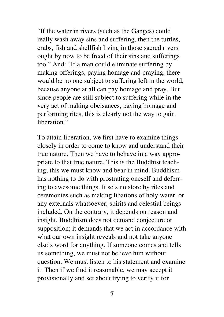"If the water in rivers (such as the Ganges) could really wash away sins and suffering, then the turtles, crabs, fish and shellfish living in those sacred rivers ought by now to be freed of their sins and sufferings too." And: "If a man could eliminate suffering by making offerings, paying homage and praying, there would be no one subject to suffering left in the world, because anyone at all can pay homage and pray. But since people are still subject to suffering while in the very act of making obeisances, paying homage and performing rites, this is clearly not the way to gain liberation"

To attain liberation, we first have to examine things closely in order to come to know and understand their true nature. Then we have to behave in a way appropriate to that true nature. This is the Buddhist teaching; this we must know and bear in mind. Buddhism has nothing to do with prostrating oneself and deferring to awesome things. It sets no store by rites and ceremonies such as making libations of holy water, or any externals whatsoever, spirits and celestial beings included. On the contrary, it depends on reason and insight. Buddhism does not demand conjecture or supposition; it demands that we act in accordance with what our own insight reveals and not take anyone else's word for anything. If someone comes and tells us something, we must not believe him without question. We must listen to his statement and examine it. Then if we find it reasonable, we may accept it provisionally and set about trying to verify it for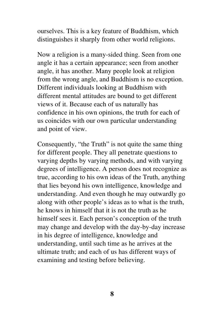ourselves. This is a key feature of Buddhism, which distinguishes it sharply from other world religions.

Now a religion is a many-sided thing. Seen from one angle it has a certain appearance; seen from another angle, it has another. Many people look at religion from the wrong angle, and Buddhism is no exception. Different individuals looking at Buddhism with different mental attitudes are bound to get different views of it. Because each of us naturally has confidence in his own opinions, the truth for each of us coincides with our own particular understanding and point of view.

Consequently, "the Truth" is not quite the same thing for different people. They all penetrate questions to varying depths by varying methods, and with varying degrees of intelligence. A person does not recognize as true, according to his own ideas of the Truth, anything that lies beyond his own intelligence, knowledge and understanding. And even though he may outwardly go along with other people's ideas as to what is the truth, he knows in himself that it is not the truth as he himself sees it. Each person's conception of the truth may change and develop with the day-by-day increase in his degree of intelligence, knowledge and understanding, until such time as he arrives at the ultimate truth; and each of us has different ways of examining and testing before believing.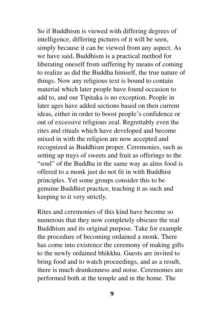So if Buddhism is viewed with differing degrees of intelligence, differing pictures of it will be seen, simply because it can be viewed from any aspect. As we have said, Buddhism is a practical method for liberating oneself from suffering by means of coming to realize as did the Buddha himself, the true nature of things. Now any religious text is bound to contain material which later people have found occasion to add to, and our Tipitaka is no exception. People in later ages have added sections based on then current ideas, either in order to boost people's confidence or out of excessive religious zeal. Regrettably even the rites and rituals which have developed and become mixed in with the religion are now accepted and recognized as Buddhism proper. Ceremonies, such as setting up trays of sweets and fruit as offerings to the "soul" of the Buddha in the same way as alms food is offered to a monk just do not fit in with Buddhist principles. Yet some groups consider this to be genuine Buddhist practice, teaching it as such and keeping to it very strictly.

Rites and ceremonies of this kind have become so numerous that they now completely obscure the real Buddhism and its original purpose. Take for example the procedure of becoming ordained a monk. There has come into existence the ceremony of making gifts to the newly ordained bhikkhu. Guests are invited to bring food and to watch proceedings, and as a result, there is much drunkenness and noise. Ceremonies are performed both at the temple and in the home. The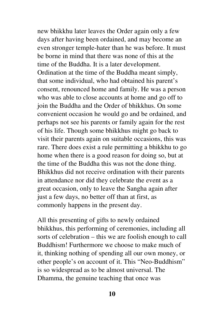new bhikkhu later leaves the Order again only a few days after having been ordained, and may become an even stronger temple-hater than he was before. It must be borne in mind that there was none of this at the time of the Buddha. It is a later development. Ordination at the time of the Buddha meant simply, that some individual, who had obtained his parent's consent, renounced home and family. He was a person who was able to close accounts at home and go off to join the Buddha and the Order of bhikkhus. On some convenient occasion he would go and be ordained, and perhaps not see his parents or family again for the rest of his life. Though some bhikkhus might go back to visit their parents again on suitable occasions, this was rare. There does exist a rule permitting a bhikkhu to go home when there is a good reason for doing so, but at the time of the Buddha this was not the done thing. Bhikkhus did not receive ordination with their parents in attendance nor did they celebrate the event as a great occasion, only to leave the Sangha again after just a few days, no better off than at first, as commonly happens in the present day.

All this presenting of gifts to newly ordained bhikkhus, this performing of ceremonies, including all sorts of celebration – this we are foolish enough to call Buddhism! Furthermore we choose to make much of it, thinking nothing of spending all our own money, or other people's on account of it. This "Neo-Buddhism" is so widespread as to be almost universal. The Dhamma, the genuine teaching that once was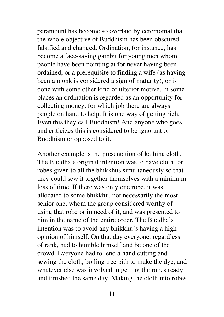paramount has become so overlaid by ceremonial that the whole objective of Buddhism has been obscured, falsified and changed. Ordination, for instance, has become a face-saving gambit for young men whom people have been pointing at for never having been ordained, or a prerequisite to finding a wife (as having been a monk is considered a sign of maturity), or is done with some other kind of ulterior motive. In some places an ordination is regarded as an opportunity for collecting money, for which job there are always people on hand to help. It is one way of getting rich. Even this they call Buddhism! And anyone who goes and criticizes this is considered to be ignorant of Buddhism or opposed to it.

Another example is the presentation of kathina cloth. The Buddha's original intention was to have cloth for robes given to all the bhikkhus simultaneously so that they could sew it together themselves with a minimum loss of time. If there was only one robe, it was allocated to some bhikkhu, not necessarily the most senior one, whom the group considered worthy of using that robe or in need of it, and was presented to him in the name of the entire order. The Buddha's intention was to avoid any bhikkhu's having a high opinion of himself. On that day everyone, regardless of rank, had to humble himself and be one of the crowd. Everyone had to lend a hand cutting and sewing the cloth, boiling tree pith to make the dye, and whatever else was involved in getting the robes ready and finished the same day. Making the cloth into robes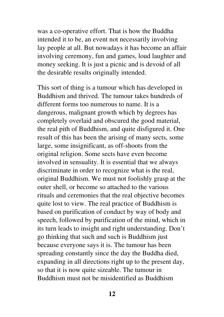was a co-operative effort. That is how the Buddha intended it to be, an event not necessarily involving lay people at all. But nowadays it has become an affair involving ceremony, fun and games, loud laughter and money seeking. It is just a picnic and is devoid of all the desirable results originally intended.

This sort of thing is a tumour which has developed in Buddhism and thrived. The tumour takes hundreds of different forms too numerous to name. It is a dangerous, malignant growth which by degrees has completely overlaid and obscured the good material, the real pith of Buddhism, and quite disfigured it. One result of this has been the arising of many sects, some large, some insignificant, as off-shoots from the original religion. Some sects have even become involved in sensuality. It is essential that we always discriminate in order to recognize what is the real, original Buddhism. We must not foolishly grasp at the outer shell, or become so attached to the various rituals and ceremonies that the real objective becomes quite lost to view. The real practice of Buddhism is based on purification of conduct by way of body and speech, followed by purification of the mind, which in its turn leads to insight and right understanding. Don't go thinking that such and such is Buddhism just because everyone says it is. The tumour has been spreading constantly since the day the Buddha died, expanding in all directions right up to the present day, so that it is now quite sizeable. The tumour in Buddhism must not be misidentified as Buddhism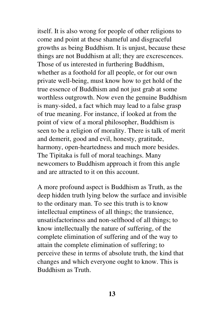itself. It is also wrong for people of other religions to come and point at these shameful and disgraceful growths as being Buddhism. It is unjust, because these things are not Buddhism at all; they are excrescences. Those of us interested in furthering Buddhism, whether as a foothold for all people, or for our own private well-being, must know how to get hold of the true essence of Buddhism and not just grab at some worthless outgrowth. Now even the genuine Buddhism is many-sided, a fact which may lead to a false grasp of true meaning. For instance, if looked at from the point of view of a moral philosopher, Buddhism is seen to be a religion of morality. There is talk of merit and demerit, good and evil, honesty, gratitude, harmony, open-heartedness and much more besides. The Tipitaka is full of moral teachings. Many newcomers to Buddhism approach it from this angle and are attracted to it on this account.

A more profound aspect is Buddhism as Truth, as the deep hidden truth lying below the surface and invisible to the ordinary man. To see this truth is to know intellectual emptiness of all things; the transience, unsatisfactoriness and non-selfhood of all things; to know intellectually the nature of suffering, of the complete elimination of suffering and of the way to attain the complete elimination of suffering; to perceive these in terms of absolute truth, the kind that changes and which everyone ought to know. This is Buddhism as Truth.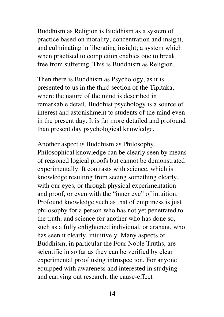Buddhism as Religion is Buddhism as a system of practice based on morality, concentration and insight, and culminating in liberating insight; a system which when practised to completion enables one to break free from suffering. This is Buddhism as Religion.

Then there is Buddhism as Psychology, as it is presented to us in the third section of the Tipitaka, where the nature of the mind is described in remarkable detail. Buddhist psychology is a source of interest and astonishment to students of the mind even in the present day. It is far more detailed and profound than present day psychological knowledge.

Another aspect is Buddhism as Philosophy. Philosophical knowledge can be clearly seen by means of reasoned logical proofs but cannot be demonstrated experimentally. It contrasts with science, which is knowledge resulting from seeing something clearly, with our eyes, or through physical experimentation and proof, or even with the "inner eye" of intuition. Profound knowledge such as that of emptiness is just philosophy for a person who has not yet penetrated to the truth, and science for another who has done so, such as a fully enlightened individual, or arahant, who has seen it clearly, intuitively. Many aspects of Buddhism, in particular the Four Noble Truths, are scientific in so far as they can be verified by clear experimental proof using introspection. For anyone equipped with awareness and interested in studying and carrying out research, the cause-effect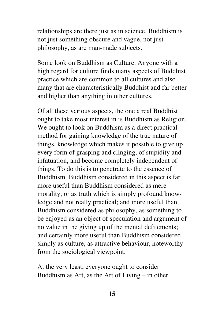relationships are there just as in science. Buddhism is not just something obscure and vague, not just philosophy, as are man-made subjects.

Some look on Buddhism as Culture. Anyone with a high regard for culture finds many aspects of Buddhist practice which are common to all cultures and also many that are characteristically Buddhist and far better and higher than anything in other cultures.

Of all these various aspects, the one a real Buddhist ought to take most interest in is Buddhism as Religion. We ought to look on Buddhism as a direct practical method for gaining knowledge of the true nature of things, knowledge which makes it possible to give up every form of grasping and clinging, of stupidity and infatuation, and become completely independent of things. To do this is to penetrate to the essence of Buddhism. Buddhism considered in this aspect is far more useful than Buddhism considered as mere morality, or as truth which is simply profound knowledge and not really practical; and more useful than Buddhism considered as philosophy, as something to be enjoyed as an object of speculation and argument of no value in the giving up of the mental defilements; and certainly more useful than Buddhism considered simply as culture, as attractive behaviour, noteworthy from the sociological viewpoint.

At the very least, everyone ought to consider Buddhism as Art, as the Art of Living – in other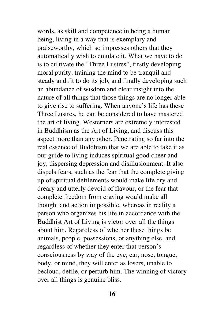words, as skill and competence in being a human being, living in a way that is exemplary and praiseworthy, which so impresses others that they automatically wish to emulate it. What we have to do is to cultivate the "Three Lustres", firstly developing moral purity, training the mind to be tranquil and steady and fit to do its job, and finally developing such an abundance of wisdom and clear insight into the nature of all things that those things are no longer able to give rise to suffering. When anyone's life has these Three Lustres, he can be considered to have mastered the art of living. Westerners are extremely interested in Buddhism as the Art of Living, and discuss this aspect more than any other. Penetrating so far into the real essence of Buddhism that we are able to take it as our guide to living induces spiritual good cheer and joy, dispersing depression and disillusionment. It also dispels fears, such as the fear that the complete giving up of spiritual defilements would make life dry and dreary and utterly devoid of flavour, or the fear that complete freedom from craving would make all thought and action impossible, whereas in reality a person who organizes his life in accordance with the Buddhist Art of Living is victor over all the things about him. Regardless of whether these things be animals, people, possessions, or anything else, and regardless of whether they enter that person's consciousness by way of the eye, ear, nose, tongue, body, or mind, they will enter as losers, unable to becloud, defile, or perturb him. The winning of victory over all things is genuine bliss.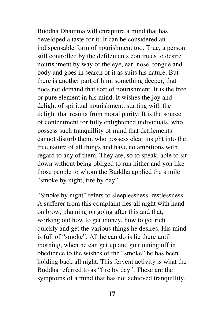Buddha Dhamma will enrapture a mind that has developed a taste for it. It can be considered an indispensable form of nourishment too. True, a person still controlled by the defilements continues to desire nourishment by way of the eye, ear, nose, tongue and body and goes in search of it as suits his nature. But there is another part of him, something deeper, that does not demand that sort of nourishment. It is the free or pure element in his mind. It wishes the joy and delight of spiritual nourishment, starting with the delight that results from moral purity. It is the source of contentment for fully enlightened individuals, who possess such tranquillity of mind that defilements cannot disturb them, who possess clear insight into the true nature of all things and have no ambitions with regard to any of them. They are, so to speak, able to sit down without being obliged to run hither and yon like those people to whom the Buddha applied the simile "smoke by night, fire by day".

"Smoke by night" refers to sleeplessness, restlessness. A sufferer from this complaint lies all night with hand on brow, planning on going after this and that, working out how to get money, how to get rich quickly and get the various things he desires. His mind is full of "smoke". All he can do is lie there until morning, when he can get up and go running off in obedience to the wishes of the "smoke" he has been holding back all night. This fervent activity is what the Buddha referred to as "fire by day". These are the symptoms of a mind that has not achieved tranquillity,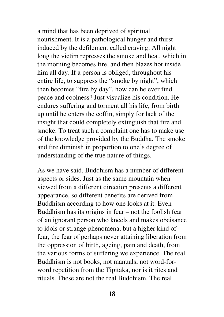a mind that has been deprived of spiritual nourishment. It is a pathological hunger and thirst induced by the defilement called craving. All night long the victim represses the smoke and heat, which in the morning becomes fire, and then blazes hot inside him all day. If a person is obliged, throughout his entire life, to suppress the "smoke by night", which then becomes "fire by day", how can he ever find peace and coolness? Just visualize his condition. He endures suffering and torment all his life, from birth up until he enters the coffin, simply for lack of the insight that could completely extinguish that fire and smoke. To treat such a complaint one has to make use of the knowledge provided by the Buddha. The smoke and fire diminish in proportion to one's degree of understanding of the true nature of things.

As we have said, Buddhism has a number of different aspects or sides. Just as the same mountain when viewed from a different direction presents a different appearance, so different benefits are derived from Buddhism according to how one looks at it. Even Buddhism has its origins in fear – not the foolish fear of an ignorant person who kneels and makes obeisance to idols or strange phenomena, but a higher kind of fear, the fear of perhaps never attaining liberation from the oppression of birth, ageing, pain and death, from the various forms of suffering we experience. The real Buddhism is not books, not manuals, not word-forword repetition from the Tipitaka, nor is it rites and rituals. These are not the real Buddhism. The real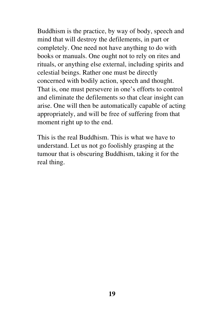Buddhism is the practice, by way of body, speech and mind that will destroy the defilements, in part or completely. One need not have anything to do with books or manuals. One ought not to rely on rites and rituals, or anything else external, including spirits and celestial beings. Rather one must be directly concerned with bodily action, speech and thought. That is, one must persevere in one's efforts to control and eliminate the defilements so that clear insight can arise. One will then be automatically capable of acting appropriately, and will be free of suffering from that moment right up to the end.

This is the real Buddhism. This is what we have to understand. Let us not go foolishly grasping at the tumour that is obscuring Buddhism, taking it for the real thing.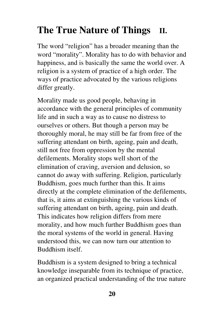## <span id="page-19-0"></span>**The True Nature of Things II.**

The word "religion" has a broader meaning than the word "morality". Morality has to do with behavior and happiness, and is basically the same the world over. A religion is a system of practice of a high order. The ways of practice advocated by the various religions differ greatly.

Morality made us good people, behaving in accordance with the general principles of community life and in such a way as to cause no distress to ourselves or others. But though a person may be thoroughly moral, he may still be far from free of the suffering attendant on birth, ageing, pain and death, still not free from oppression by the mental defilements. Morality stops well short of the elimination of craving, aversion and delusion, so cannot do away with suffering. Religion, particularly Buddhism, goes much further than this. It aims directly at the complete elimination of the defilements, that is, it aims at extinguishing the various kinds of suffering attendant on birth, ageing, pain and death. This indicates how religion differs from mere morality, and how much further Buddhism goes than the moral systems of the world in general. Having understood this, we can now turn our attention to Buddhism itself.

Buddhism is a system designed to bring a technical knowledge inseparable from its technique of practice, an organized practical understanding of the true nature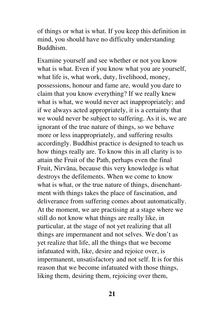of things or what is what. If you keep this definition in mind, you should have no difficulty understanding Buddhism.

Examine yourself and see whether or not you know what is what. Even if you know what you are yourself, what life is, what work, duty, livelihood, money, possessions, honour and fame are, would you dare to claim that you know everything? If we really knew what is what, we would never act inappropriately; and if we always acted appropriately, it is a certainty that we would never be subject to suffering. As it is, we are ignorant of the true nature of things, so we behave more or less inappropriately, and suffering results accordingly. Buddhist practice is designed to teach us how things really are. To know this in all clarity is to attain the Fruit of the Path, perhaps even the final Fruit, Nirvāna, because this very knowledge is what destroys the defilements. When we come to know what is what, or the true nature of things, disenchantment with things takes the place of fascination, and deliverance from suffering comes about automatically. At the moment, we are practising at a stage where we still do not know what things are really like, in particular, at the stage of not yet realizing that all things are impermanent and not selves. We don't as yet realize that life, all the things that we become infatuated with, like, desire and rejoice over, is impermanent, unsatisfactory and not self. It is for this reason that we become infatuated with those things, liking them, desiring them, rejoicing over them,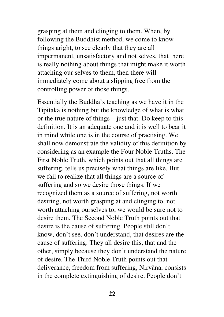grasping at them and clinging to them. When, by following the Buddhist method, we come to know things aright, to see clearly that they are all impermanent, unsatisfactory and not selves, that there is really nothing about things that might make it worth attaching our selves to them, then there will immediately come about a slipping free from the controlling power of those things.

Essentially the Buddha's teaching as we have it in the Tipitaka is nothing but the knowledge of what is what or the true nature of things – just that. Do keep to this definition. It is an adequate one and it is well to bear it in mind while one is in the course of practising. We shall now demonstrate the validity of this definition by considering as an example the Four Noble Truths. The First Noble Truth, which points out that all things are suffering, tells us precisely what things are like. But we fail to realize that all things are a source of suffering and so we desire those things. If we recognized them as a source of suffering, not worth desiring, not worth grasping at and clinging to, not worth attaching ourselves to, we would be sure not to desire them. The Second Noble Truth points out that desire is the cause of suffering. People still don't know, don't see, don't understand, that desires are the cause of suffering. They all desire this, that and the other, simply because they don't understand the nature of desire. The Third Noble Truth points out that deliverance, freedom from suffering, Nirvāna, consists in the complete extinguishing of desire. People don't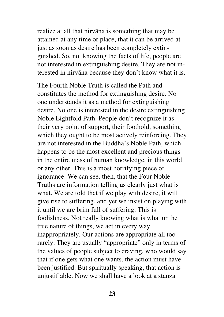realize at all that nirvāna is something that may be attained at any time or place, that it can be arrived at just as soon as desire has been completely extinguished. So, not knowing the facts of life, people are not interested in extinguishing desire. They are not interested in nirvāna because they don't know what it is.

The Fourth Noble Truth is called the Path and constitutes the method for extinguishing desire. No one understands it as a method for extinguishing desire. No one is interested in the desire extinguishing Noble Eightfold Path. People don't recognize it as their very point of support, their foothold, something which they ought to be most actively reinforcing. They are not interested in the Buddha's Noble Path, which happens to be the most excellent and precious things in the entire mass of human knowledge, in this world or any other. This is a most horrifying piece of ignorance. We can see, then, that the Four Noble Truths are information telling us clearly just what is what. We are told that if we play with desire, it will give rise to suffering, and yet we insist on playing with it until we are brim full of suffering. This is foolishness. Not really knowing what is what or the true nature of things, we act in every way inappropriately. Our actions are appropriate all too rarely. They are usually "appropriate" only in terms of the values of people subject to craving, who would say that if one gets what one wants, the action must have been justified. But spiritually speaking, that action is unjustifiable. Now we shall have a look at a stanza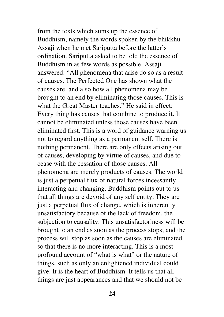from the texts which sums up the essence of Buddhism, namely the words spoken by the bhikkhu Assaji when he met Sariputta before the latter's ordination. Sariputta asked to be told the essence of Buddhism in as few words as possible. Assaji answered: "All phenomena that arise do so as a result of causes. The Perfected One has shown what the causes are, and also how all phenomena may be brought to an end by eliminating those causes. This is what the Great Master teaches." He said in effect: Every thing has causes that combine to produce it. It cannot be eliminated unless those causes have been eliminated first. This is a word of guidance warning us not to regard anything as a permanent self. There is nothing permanent. There are only effects arising out of causes, developing by virtue of causes, and due to cease with the cessation of those causes. All phenomena are merely products of causes. The world is just a perpetual flux of natural forces incessantly interacting and changing. Buddhism points out to us that all things are devoid of any self entity. They are just a perpetual flux of change, which is inherently unsatisfactory because of the lack of freedom, the subjection to causality. This unsatisfactoriness will be brought to an end as soon as the process stops; and the process will stop as soon as the causes are eliminated so that there is no more interacting. This is a most profound account of "what is what" or the nature of things, such as only an enlightened individual could give. It is the heart of Buddhism. It tells us that all things are just appearances and that we should not be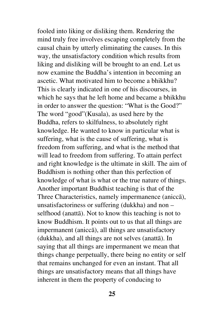fooled into liking or disliking them. Rendering the mind truly free involves escaping completely from the causal chain by utterly eliminating the causes. In this way, the unsatisfactory condition which results from liking and disliking will be brought to an end. Let us now examine the Buddha's intention in becoming an ascetic. What motivated him to become a bhikkhu? This is clearly indicated in one of his discourses, in which he says that he left home and became a bhikkhu in order to answer the question: "What is the Good?" The word "good"(Kusala), as used here by the Buddha, refers to skilfulness, to absolutely right knowledge. He wanted to know in particular what is suffering, what is the cause of suffering, what is freedom from suffering, and what is the method that will lead to freedom from suffering. To attain perfect and right knowledge is the ultimate in skill. The aim of Buddhism is nothing other than this perfection of knowledge of what is what or the true nature of things. Another important Buddhist teaching is that of the Three Characteristics, namely impermanence (aniccā), unsatisfactoriness or suffering (dukkha) and non – selfhood (anattā). Not to know this teaching is not to know Buddhism. It points out to us that all things are impermanent (aniccā), all things are unsatisfactory (dukkha), and all things are not selves (anattā). In saying that all things are impermanent we mean that things change perpetually, there being no entity or self that remains unchanged for even an instant. That all things are unsatisfactory means that all things have inherent in them the property of conducing to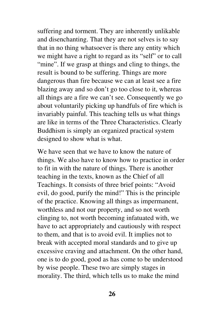suffering and torment. They are inherently unlikable and disenchanting. That they are not selves is to say that in no thing whatsoever is there any entity which we might have a right to regard as its "self" or to call "mine". If we grasp at things and cling to things, the result is bound to be suffering. Things are more dangerous than fire because we can at least see a fire blazing away and so don't go too close to it, whereas all things are a fire we can't see. Consequently we go about voluntarily picking up handfuls of fire which is invariably painful. This teaching tells us what things are like in terms of the Three Characteristics. Clearly Buddhism is simply an organized practical system designed to show what is what.

We have seen that we have to know the nature of things. We also have to know how to practice in order to fit in with the nature of things. There is another teaching in the texts, known as the Chief of all Teachings. It consists of three brief points: "Avoid evil, do good, purify the mind!" This is the principle of the practice. Knowing all things as impermanent, worthless and not our property, and so not worth clinging to, not worth becoming infatuated with, we have to act appropriately and cautiously with respect to them, and that is to avoid evil. It implies not to break with accepted moral standards and to give up excessive craving and attachment. On the other hand, one is to do good, good as has come to be understood by wise people. These two are simply stages in morality. The third, which tells us to make the mind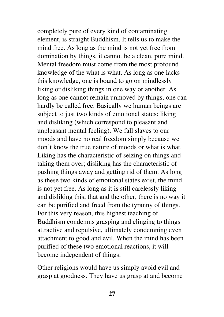completely pure of every kind of contaminating element, is straight Buddhism. It tells us to make the mind free. As long as the mind is not yet free from domination by things, it cannot be a clean, pure mind. Mental freedom must come from the most profound knowledge of the what is what. As long as one lacks this knowledge, one is bound to go on mindlessly liking or disliking things in one way or another. As long as one cannot remain unmoved by things, one can hardly be called free. Basically we human beings are subject to just two kinds of emotional states: liking and disliking (which correspond to pleasant and unpleasant mental feeling). We fall slaves to our moods and have no real freedom simply because we don't know the true nature of moods or what is what. Liking has the characteristic of seizing on things and taking them over; disliking has the characteristic of pushing things away and getting rid of them. As long as these two kinds of emotional states exist, the mind is not yet free. As long as it is still carelessly liking and disliking this, that and the other, there is no way it can be purified and freed from the tyranny of things. For this very reason, this highest teaching of Buddhism condemns grasping and clinging to things attractive and repulsive, ultimately condemning even attachment to good and evil. When the mind has been purified of these two emotional reactions, it will become independent of things.

Other religions would have us simply avoid evil and grasp at goodness. They have us grasp at and become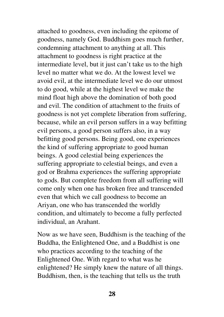attached to goodness, even including the epitome of goodness, namely God. Buddhism goes much further, condemning attachment to anything at all. This attachment to goodness is right practice at the intermediate level, but it just can't take us to the high level no matter what we do. At the lowest level we avoid evil, at the intermediate level we do our utmost to do good, while at the highest level we make the mind float high above the domination of both good and evil. The condition of attachment to the fruits of goodness is not yet complete liberation from suffering, because, while an evil person suffers in a way befitting evil persons, a good person suffers also, in a way befitting good persons. Being good, one experiences the kind of suffering appropriate to good human beings. A good celestial being experiences the suffering appropriate to celestial beings, and even a god or Brahma experiences the suffering appropriate to gods. But complete freedom from all suffering will come only when one has broken free and transcended even that which we call goodness to become an Ariyan, one who has transcended the worldly condition, and ultimately to become a fully perfected individual, an Arahant.

Now as we have seen, Buddhism is the teaching of the Buddha, the Enlightened One, and a Buddhist is one who practices according to the teaching of the Enlightened One. With regard to what was he enlightened? He simply knew the nature of all things. Buddhism, then, is the teaching that tells us the truth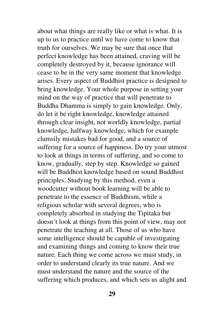about what things are really like or what is what. It is up to us to practice until we have come to know that truth for ourselves. We may be sure that once that perfect knowledge has been attained, craving will be completely destroyed by it, because ignorance will cease to be in the very same moment that knowledge arises. Every aspect of Buddhist practice is designed to bring knowledge. Your whole purpose in setting your mind on the way of practice that will penetrate to Buddha Dhamma is simply to gain knowledge. Only, do let it be right knowledge, knowledge attained through clear insight, not worldly knowledge, partial knowledge, halfway knowledge, which for example clumsily mistakes bad for good, and a source of suffering for a source of happiness. Do try your utmost to look at things in terms of suffering, and so come to know, gradually, step by step. Knowledge so gained will be Buddhist knowledge based on sound Buddhist principles. Studying by this method, even a woodcutter without book learning will be able to penetrate to the essence of Buddhism, while a religious scholar with several degrees, who is completely absorbed in studying the Tipitaka but doesn't look at things from this point of view, may not penetrate the teaching at all. Those of us who have some intelligence should be capable of investigating and examining things and coming to know their true nature. Each thing we come across we must study, in order to understand clearly its true nature. And we must understand the nature and the source of the suffering which produces, and which sets us alight and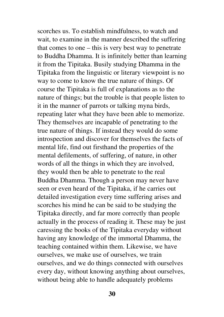scorches us. To establish mindfulness, to watch and wait, to examine in the manner described the suffering that comes to one – this is very best way to penetrate to Buddha Dhamma. It is infinitely better than learning it from the Tipitaka. Busily studying Dhamma in the Tipitaka from the linguistic or literary viewpoint is no way to come to know the true nature of things. Of course the Tipitaka is full of explanations as to the nature of things; but the trouble is that people listen to it in the manner of parrots or talking myna birds, repeating later what they have been able to memorize. They themselves are incapable of penetrating to the true nature of things. If instead they would do some introspection and discover for themselves the facts of mental life, find out firsthand the properties of the mental defilements, of suffering, of nature, in other words of all the things in which they are involved, they would then be able to penetrate to the real Buddha Dhamma. Though a person may never have seen or even heard of the Tipitaka, if he carries out detailed investigation every time suffering arises and scorches his mind he can be said to be studying the Tipitaka directly, and far more correctly than people actually in the process of reading it. These may be just caressing the books of the Tipitaka everyday without having any knowledge of the immortal Dhamma, the teaching contained within them. Likewise, we have ourselves, we make use of ourselves, we train ourselves, and we do things connected with ourselves every day, without knowing anything about ourselves, without being able to handle adequately problems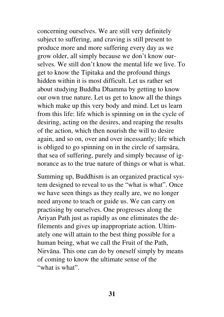concerning ourselves. We are still very definitely subject to suffering, and craving is still present to produce more and more suffering every day as we grow older, all simply because we don't know ourselves. We still don't know the mental life we live. To get to know the Tipitaka and the profound things hidden within it is most difficult. Let us rather set about studying Buddha Dhamma by getting to know our own true nature. Let us get to know all the things which make up this very body and mind. Let us learn from this life: life which is spinning on in the cycle of desiring, acting on the desires, and reaping the results of the action, which then nourish the will to desire again, and so on, over and over incessantly; life which is obliged to go spinning on in the circle of samsara, that sea of suffering, purely and simply because of ignorance as to the true nature of things or what is what.

Summing up, Buddhism is an organized practical system designed to reveal to us the "what is what". Once we have seen things as they really are, we no longer need anyone to teach or guide us. We can carry on practising by ourselves. One progresses along the Ariyan Path just as rapidly as one eliminates the defilements and gives up inappropriate action. Ultimately one will attain to the best thing possible for a human being, what we call the Fruit of the Path, Nirvāna. This one can do by oneself simply by means of coming to know the ultimate sense of the "what is what".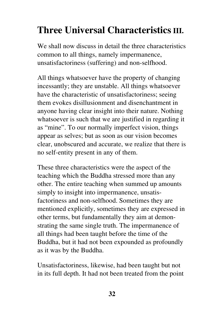## <span id="page-31-0"></span>**Three Universal Characteristics III.**

We shall now discuss in detail the three characteristics common to all things, namely impermanence, unsatisfactoriness (suffering) and non-selfhood.

All things whatsoever have the property of changing incessantly; they are unstable. All things whatsoever have the characteristic of unsatisfactoriness; seeing them evokes disillusionment and disenchantment in anyone having clear insight into their nature. Nothing whatsoever is such that we are justified in regarding it as "mine". To our normally imperfect vision, things appear as selves; but as soon as our vision becomes clear, unobscured and accurate, we realize that there is no self-entity present in any of them.

These three characteristics were the aspect of the teaching which the Buddha stressed more than any other. The entire teaching when summed up amounts simply to insight into impermanence, unsatisfactoriness and non-selfhood. Sometimes they are mentioned explicitly, sometimes they are expressed in other terms, but fundamentally they aim at demonstrating the same single truth. The impermanence of all things had been taught before the time of the Buddha, but it had not been expounded as profoundly as it was by the Buddha.

Unsatisfactoriness, likewise, had been taught but not in its full depth. It had not been treated from the point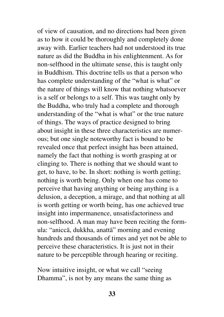of view of causation, and no directions had been given as to how it could be thoroughly and completely done away with. Earlier teachers had not understood its true nature as did the Buddha in his enlightenment. As for non-selfhood in the ultimate sense, this is taught only in Buddhism. This doctrine tells us that a person who has complete understanding of the "what is what" or the nature of things will know that nothing whatsoever is a self or belongs to a self. This was taught only by the Buddha, who truly had a complete and thorough understanding of the "what is what" or the true nature of things. The ways of practice designed to bring about insight in these three characteristics are numerous; but one single noteworthy fact is bound to be revealed once that perfect insight has been attained, namely the fact that nothing is worth grasping at or clinging to. There is nothing that we should want to get, to have, to be. In short: nothing is worth getting; nothing is worth being. Only when one has come to perceive that having anything or being anything is a delusion, a deception, a mirage, and that nothing at all is worth getting or worth being, has one achieved true insight into impermanence, unsatisfactoriness and non-selfhood. A man may have been reciting the formula: "aniccā, dukkha, anattā" morning and evening hundreds and thousands of times and yet not be able to perceive these characteristics. It is just not in their nature to be perceptible through hearing or reciting.

Now intuitive insight, or what we call "seeing Dhamma", is not by any means the same thing as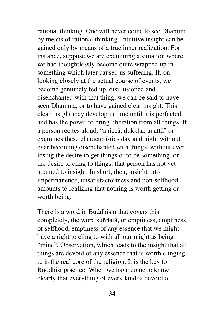rational thinking. One will never come to see Dhamma by means of rational thinking. Intuitive insight can be gained only by means of a true inner realization. For instance, suppose we are examining a situation where we had thoughtlessly become quite wrapped up in something which later caused us suffering. If, on looking closely at the actual course of events, we become genuinely fed up, disillusioned and disenchanted with that thing, we can be said to have seen Dhamma, or to have gained clear insight. This clear insight may develop in time until it is perfected, and has the power to bring liberation from all things. If a person recites aloud: "aniccā, dukkha, anattā" or examines these characteristics day and night without ever becoming disenchanted with things, without ever losing the desire to get things or to be something, or the desire to cling to things, that person has not yet attained to insight. In short, then, insight into impermanence, unsatisfactoriness and non-selfhood amounts to realizing that nothing is worth getting or worth being.

There is a word in Buddhism that covers this completely, the word suññatā, or emptiness, emptiness of selfhood, emptiness of any essence that we might have a right to cling to with all our might as being "mine". Observation, which leads to the insight that all things are devoid of any essence that is worth clinging to is the real core of the religion. It is the key to Buddhist practice. When we have come to know clearly that everything of every kind is devoid of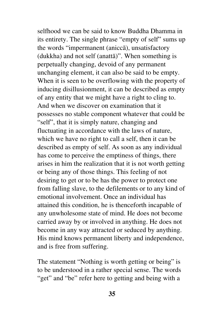selfhood we can be said to know Buddha Dhamma in its entirety. The single phrase "empty of self" sums up the words "impermanent (aniccā), unsatisfactory (dukkha) and not self (anattā)". When something is perpetually changing, devoid of any permanent unchanging element, it can also be said to be empty. When it is seen to be overflowing with the property of inducing disillusionment, it can be described as empty of any entity that we might have a right to cling to. And when we discover on examination that it possesses no stable component whatever that could be "self", that it is simply nature, changing and fluctuating in accordance with the laws of nature, which we have no right to call a self, then it can be described as empty of self. As soon as any individual has come to perceive the emptiness of things, there arises in him the realization that it is not worth getting or being any of those things. This feeling of not desiring to get or to be has the power to protect one from falling slave, to the defilements or to any kind of emotional involvement. Once an individual has attained this condition, he is thenceforth incapable of any unwholesome state of mind. He does not become carried away by or involved in anything. He does not become in any way attracted or seduced by anything. His mind knows permanent liberty and independence, and is free from suffering.

The statement "Nothing is worth getting or being" is to be understood in a rather special sense. The words "get" and "be" refer here to getting and being with a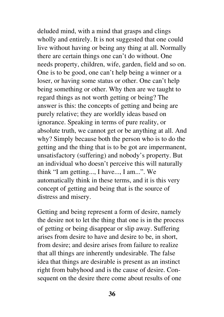deluded mind, with a mind that grasps and clings wholly and entirely. It is not suggested that one could live without having or being any thing at all. Normally there are certain things one can't do without. One needs property, children, wife, garden, field and so on. One is to be good, one can't help being a winner or a loser, or having some status or other. One can't help being something or other. Why then are we taught to regard things as not worth getting or being? The answer is this: the concepts of getting and being are purely relative; they are worldly ideas based on ignorance. Speaking in terms of pure reality, or absolute truth, we cannot get or be anything at all. And why? Simply because both the person who is to do the getting and the thing that is to be got are impermanent, unsatisfactory (suffering) and nobody's property. But an individual who doesn't perceive this will naturally think "I am getting..., I have..., I am...". We automatically think in these terms, and it is this very concept of getting and being that is the source of distress and misery.

Getting and being represent a form of desire, namely the desire not to let the thing that one is in the process of getting or being disappear or slip away. Suffering arises from desire to have and desire to be, in short, from desire; and desire arises from failure to realize that all things are inherently undesirable. The false idea that things are desirable is present as an instinct right from babyhood and is the cause of desire. Consequent on the desire there come about results of one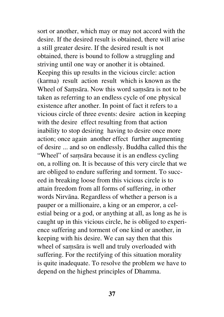sort or another, which may or may not accord with the desire. If the desired result is obtained, there will arise a still greater desire. If the desired result is not obtained, there is bound to follow a struggling and striving until one way or another it is obtained. Keeping this up results in the vicious circle: action (karma) result action result which is known as the Wheel of Samsāra. Now this word samsāra is not to be taken as referring to an endless cycle of one physical existence after another. In point of fact it refers to a vicious circle of three events: desire action in keeping with the desire effect resulting from that action inability to stop desiring having to desire once more action; once again another effect further augmenting of desire ... and so on endlessly. Buddha called this the "Wheel" of samsara because it is an endless cycling on, a rolling on. It is because of this very circle that we are obliged to endure suffering and torment. To succeed in breaking loose from this vicious circle is to attain freedom from all forms of suffering, in other words Nirvāna. Regardless of whether a person is a pauper or a millionaire, a king or an emperor, a celestial being or a god, or anything at all, as long as he is caught up in this vicious circle, he is obliged to experience suffering and torment of one kind or another, in keeping with his desire. We can say then that this wheel of samsara is well and truly overloaded with suffering. For the rectifying of this situation morality is quite inadequate. To resolve the problem we have to depend on the highest principles of Dhamma.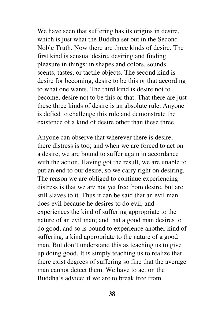We have seen that suffering has its origins in desire, which is just what the Buddha set out in the Second Noble Truth. Now there are three kinds of desire. The first kind is sensual desire, desiring and finding pleasure in things: in shapes and colors, sounds, scents, tastes, or tactile objects. The second kind is desire for becoming, desire to be this or that according to what one wants. The third kind is desire not to become, desire not to be this or that. That there are just these three kinds of desire is an absolute rule. Anyone is defied to challenge this rule and demonstrate the existence of a kind of desire other than these three.

Anyone can observe that wherever there is desire, there distress is too; and when we are forced to act on a desire, we are bound to suffer again in accordance with the action. Having got the result, we are unable to put an end to our desire, so we carry right on desiring. The reason we are obliged to continue experiencing distress is that we are not yet free from desire, but are still slaves to it. Thus it can be said that an evil man does evil because he desires to do evil, and experiences the kind of suffering appropriate to the nature of an evil man; and that a good man desires to do good, and so is bound to experience another kind of suffering, a kind appropriate to the nature of a good man. But don't understand this as teaching us to give up doing good. It is simply teaching us to realize that there exist degrees of suffering so fine that the average man cannot detect them. We have to act on the Buddha's advice: if we are to break free from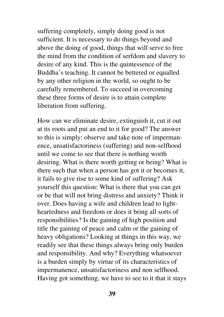suffering completely, simply doing good is not sufficient. It is necessary to do things beyond and above the doing of good, things that will serve to free the mind from the condition of serfdom and slavery to desire of any kind. This is the quintessence of the Buddha's teaching. It cannot be bettered or equalled by any other religion in the world, so ought to be carefully remembered. To succeed in overcoming these three forms of desire is to attain complete liberation from suffering.

How can we eliminate desire, extinguish it, cut it out at its roots and put an end to it for good? The answer to this is simply: observe and take note of impermanence, unsatisfactoriness (suffering) and non-selfhood until we come to see that there is nothing worth desiring. What is there worth getting or being? What is there such that when a person has got it or becomes it, it fails to give rise to some kind of suffering? Ask yourself this question: What is there that you can get or be that will not bring distress and anxiety? Think it over. Does having a wife and children lead to lightheartedness and freedom or does it bring all sorts of responsibilities? Is the gaining of high position and title the gaining of peace and calm or the gaining of heavy obligations? Looking at things in this way, we readily see that these things always bring only burden and responsibility. And why? Everything whatsoever is a burden simply by virtue of its characteristics of impermanence, unsatisfactoriness and non selfhood. Having got something, we have to see to it that it stays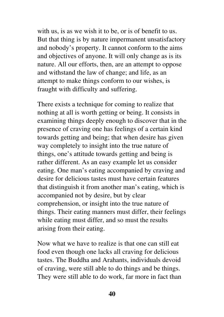with us, is as we wish it to be, or is of benefit to us. But that thing is by nature impermanent unsatisfactory and nobody's property. It cannot conform to the aims and objectives of anyone. It will only change as is its nature. All our efforts, then, are an attempt to oppose and withstand the law of change; and life, as an attempt to make things conform to our wishes, is fraught with difficulty and suffering.

There exists a technique for coming to realize that nothing at all is worth getting or being. It consists in examining things deeply enough to discover that in the presence of craving one has feelings of a certain kind towards getting and being; that when desire has given way completely to insight into the true nature of things, one's attitude towards getting and being is rather different. As an easy example let us consider eating. One man's eating accompanied by craving and desire for delicious tastes must have certain features that distinguish it from another man's eating, which is accompanied not by desire, but by clear comprehension, or insight into the true nature of things. Their eating manners must differ, their feelings while eating must differ, and so must the results arising from their eating.

Now what we have to realize is that one can still eat food even though one lacks all craving for delicious tastes. The Buddha and Arahants, individuals devoid of craving, were still able to do things and be things. They were still able to do work, far more in fact than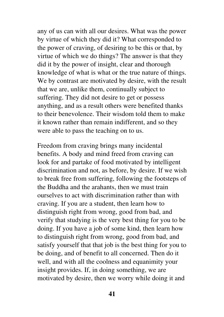any of us can with all our desires. What was the power by virtue of which they did it? What corresponded to the power of craving, of desiring to be this or that, by virtue of which we do things? The answer is that they did it by the power of insight, clear and thorough knowledge of what is what or the true nature of things. We by contrast are motivated by desire, with the result that we are, unlike them, continually subject to suffering. They did not desire to get or possess anything, and as a result others were benefited thanks to their benevolence. Their wisdom told them to make it known rather than remain indifferent, and so they were able to pass the teaching on to us.

Freedom from craving brings many incidental benefits. A body and mind freed from craving can look for and partake of food motivated by intelligent discrimination and not, as before, by desire. If we wish to break free from suffering, following the footsteps of the Buddha and the arahants, then we must train ourselves to act with discrimination rather than with craving. If you are a student, then learn how to distinguish right from wrong, good from bad, and verify that studying is the very best thing for you to be doing. If you have a job of some kind, then learn how to distinguish right from wrong, good from bad, and satisfy yourself that that job is the best thing for you to be doing, and of benefit to all concerned. Then do it well, and with all the coolness and equanimity your insight provides. If, in doing something, we are motivated by desire, then we worry while doing it and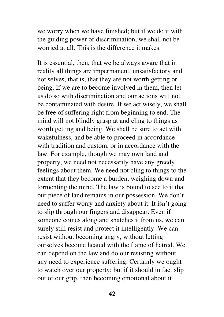we worry when we have finished; but if we do it with the guiding power of discrimination, we shall not be worried at all. This is the difference it makes.

It is essential, then, that we be always aware that in reality all things are impermanent, unsatisfactory and not selves, that is, that they are not worth getting or being. If we are to become involved in them, then let us do so with discrimination and our actions will not be contaminated with desire. If we act wisely, we shall be free of suffering right from beginning to end. The mind will not blindly grasp at and cling to things as worth getting and being. We shall be sure to act with wakefulness, and be able to proceed in accordance with tradition and custom, or in accordance with the law. For example, though we may own land and property, we need not necessarily have any greedy feelings about them. We need not cling to things to the extent that they become a burden, weighing down and tormenting the mind. The law is bound to see to it that our piece of land remains in our possession. We don't need to suffer worry and anxiety about it. It isn't going to slip through our fingers and disappear. Even if someone comes along and snatches it from us, we can surely still resist and protect it intelligently. We can resist without becoming angry, without letting ourselves become heated with the flame of hatred. We can depend on the law and do our resisting without any need to experience suffering. Certainly we ought to watch over our property; but if it should in fact slip out of our grip, then becoming emotional about it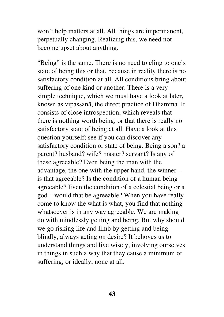won't help matters at all. All things are impermanent, perpetually changing. Realizing this, we need not become upset about anything.

"Being" is the same. There is no need to cling to one's state of being this or that, because in reality there is no satisfactory condition at all. All conditions bring about suffering of one kind or another. There is a very simple technique, which we must have a look at later, known as vipassanā, the direct practice of Dhamma. It consists of close introspection, which reveals that there is nothing worth being, or that there is really no satisfactory state of being at all. Have a look at this question yourself; see if you can discover any satisfactory condition or state of being. Being a son? a parent? husband? wife? master? servant? Is any of these agreeable? Even being the man with the advantage, the one with the upper hand, the winner – is that agreeable? Is the condition of a human being agreeable? Even the condition of a celestial being or a god – would that be agreeable? When you have really come to know the what is what, you find that nothing whatsoever is in any way agreeable. We are making do with mindlessly getting and being. But why should we go risking life and limb by getting and being blindly, always acting on desire? It behoves us to understand things and live wisely, involving ourselves in things in such a way that they cause a minimum of suffering, or ideally, none at all.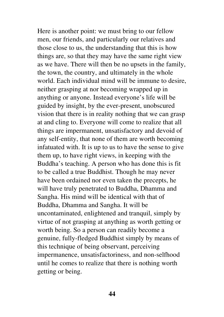Here is another point: we must bring to our fellow men, our friends, and particularly our relatives and those close to us, the understanding that this is how things are, so that they may have the same right view as we have. There will then be no upsets in the family, the town, the country, and ultimately in the whole world. Each individual mind will be immune to desire, neither grasping at nor becoming wrapped up in anything or anyone. Instead everyone's life will be guided by insight, by the ever-present, unobscured vision that there is in reality nothing that we can grasp at and cling to. Everyone will come to realize that all things are impermanent, unsatisfactory and devoid of any self-entity, that none of them are worth becoming infatuated with. It is up to us to have the sense to give them up, to have right views, in keeping with the Buddha's teaching. A person who has done this is fit to be called a true Buddhist. Though he may never have been ordained nor even taken the precepts, he will have truly penetrated to Buddha, Dhamma and Sangha. His mind will be identical with that of Buddha, Dhamma and Sangha. It will be uncontaminated, enlightened and tranquil, simply by virtue of not grasping at anything as worth getting or worth being. So a person can readily become a genuine, fully-fledged Buddhist simply by means of this technique of being observant, perceiving impermanence, unsatisfactoriness, and non-selfhood until he comes to realize that there is nothing worth getting or being.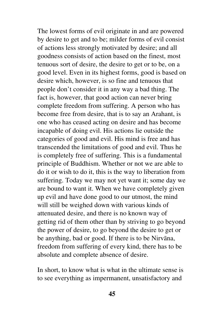The lowest forms of evil originate in and are powered by desire to get and to be; milder forms of evil consist of actions less strongly motivated by desire; and all goodness consists of action based on the finest, most tenuous sort of desire, the desire to get or to be, on a good level. Even in its highest forms, good is based on desire which, however, is so fine and tenuous that people don't consider it in any way a bad thing. The fact is, however, that good action can never bring complete freedom from suffering. A person who has become free from desire, that is to say an Arahant, is one who has ceased acting on desire and has become incapable of doing evil. His actions lie outside the categories of good and evil. His mind is free and has transcended the limitations of good and evil. Thus he is completely free of suffering. This is a fundamental principle of Buddhism. Whether or not we are able to do it or wish to do it, this is the way to liberation from suffering. Today we may not yet want it; some day we are bound to want it. When we have completely given up evil and have done good to our utmost, the mind will still be weighed down with various kinds of attenuated desire, and there is no known way of getting rid of them other than by striving to go beyond the power of desire, to go beyond the desire to get or be anything, bad or good. If there is to be Nirvāna, freedom from suffering of every kind, there has to be absolute and complete absence of desire.

In short, to know what is what in the ultimate sense is to see everything as impermanent, unsatisfactory and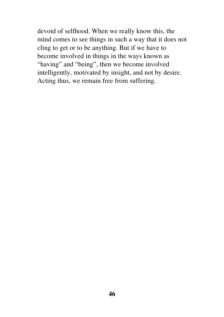devoid of selfhood. When we really know this, the mind comes to see things in such a way that it does not cling to get or to be anything. But if we have to become involved in things in the ways known as "having" and "being", then we become involved intelligently, motivated by insight, and not by desire. Acting thus, we remain free from suffering.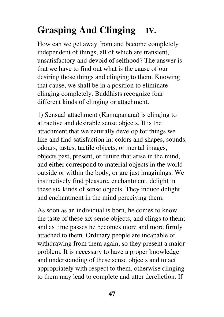## **Grasping And Clinging IV.**

How can we get away from and become completely independent of things, all of which are transient, unsatisfactory and devoid of selfhood? The answer is that we have to find out what is the cause of our desiring those things and clinging to them. Knowing that cause, we shall be in a position to eliminate clinging completely. Buddhists recognize four different kinds of clinging or attachment.

1) Sensual attachment (Kāmupānāna) is clinging to attractive and desirable sense objects. It is the attachment that we naturally develop for things we like and find satisfaction in: colors and shapes, sounds, odours, tastes, tactile objects, or mental images, objects past, present, or future that arise in the mind, and either correspond to material objects in the world outside or within the body, or are just imaginings. We instinctively find pleasure, enchantment, delight in these six kinds of sense objects. They induce delight and enchantment in the mind perceiving them.

As soon as an individual is born, he comes to know the taste of these six sense objects, and clings to them; and as time passes he becomes more and more firmly attached to them. Ordinary people are incapable of withdrawing from them again, so they present a major problem. It is necessary to have a proper knowledge and understanding of these sense objects and to act appropriately with respect to them, otherwise clinging to them may lead to complete and utter dereliction. If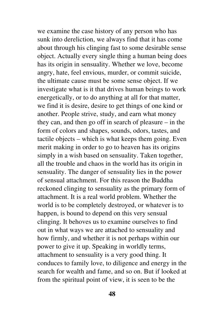we examine the case history of any person who has sunk into dereliction, we always find that it has come about through his clinging fast to some desirable sense object. Actually every single thing a human being does has its origin in sensuality. Whether we love, become angry, hate, feel envious, murder, or commit suicide, the ultimate cause must be some sense object. If we investigate what is it that drives human beings to work energetically, or to do anything at all for that matter, we find it is desire, desire to get things of one kind or another. People strive, study, and earn what money they can, and then go off in search of pleasure – in the form of colors and shapes, sounds, odors, tastes, and tactile objects – which is what keeps them going. Even merit making in order to go to heaven has its origins simply in a wish based on sensuality. Taken together, all the trouble and chaos in the world has its origin in sensuality. The danger of sensuality lies in the power of sensual attachment. For this reason the Buddha reckoned clinging to sensuality as the primary form of attachment. It is a real world problem. Whether the world is to be completely destroyed, or whatever is to happen, is bound to depend on this very sensual clinging. It behoves us to examine ourselves to find out in what ways we are attached to sensuality and how firmly, and whether it is not perhaps within our power to give it up. Speaking in worldly terms, attachment to sensuality is a very good thing. It conduces to family love, to diligence and energy in the search for wealth and fame, and so on. But if looked at from the spiritual point of view, it is seen to be the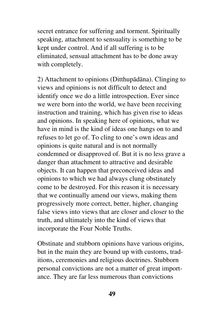secret entrance for suffering and torment. Spiritually speaking, attachment to sensuality is something to be kept under control. And if all suffering is to be eliminated, sensual attachment has to be done away with completely.

2) Attachment to opinions (Ditthupādāna). Clinging to views and opinions is not difficult to detect and identify once we do a little introspection. Ever since we were born into the world, we have been receiving instruction and training, which has given rise to ideas and opinions. In speaking here of opinions, what we have in mind is the kind of ideas one hangs on to and refuses to let go of. To cling to one's own ideas and opinions is quite natural and is not normally condemned or disapproved of. But it is no less grave a danger than attachment to attractive and desirable objects. It can happen that preconceived ideas and opinions to which we had always clung obstinately come to be destroyed. For this reason it is necessary that we continually amend our views, making them progressively more correct, better, higher, changing false views into views that are closer and closer to the truth, and ultimately into the kind of views that incorporate the Four Noble Truths.

Obstinate and stubborn opinions have various origins, but in the main they are bound up with customs, traditions, ceremonies and religious doctrines. Stubborn personal convictions are not a matter of great importance. They are far less numerous than convictions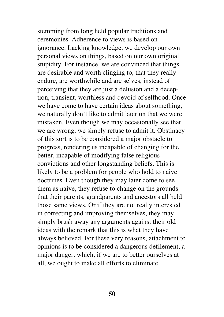stemming from long held popular traditions and ceremonies. Adherence to views is based on ignorance. Lacking knowledge, we develop our own personal views on things, based on our own original stupidity. For instance, we are convinced that things are desirable and worth clinging to, that they really endure, are worthwhile and are selves, instead of perceiving that they are just a delusion and a deception, transient, worthless and devoid of selfhood. Once we have come to have certain ideas about something, we naturally don't like to admit later on that we were mistaken. Even though we may occasionally see that we are wrong, we simply refuse to admit it. Obstinacy of this sort is to be considered a major obstacle to progress, rendering us incapable of changing for the better, incapable of modifying false religious convictions and other longstanding beliefs. This is likely to be a problem for people who hold to naive doctrines. Even though they may later come to see them as naive, they refuse to change on the grounds that their parents, grandparents and ancestors all held those same views. Or if they are not really interested in correcting and improving themselves, they may simply brush away any arguments against their old ideas with the remark that this is what they have always believed. For these very reasons, attachment to opinions is to be considered a dangerous defilement, a major danger, which, if we are to better ourselves at all, we ought to make all efforts to eliminate.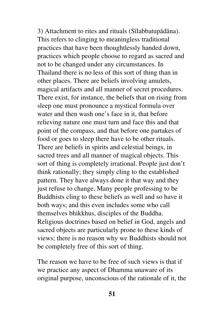3) Attachment to rites and rituals (Sīlabbatupādāna). This refers to clinging to meaningless traditional practices that have been thoughtlessly handed down, practices which people choose to regard as sacred and not to be changed under any circumstances. In Thailand there is no less of this sort of thing than in other places. There are beliefs involving amulets, magical artifacts and all manner of secret procedures. There exist, for instance, the beliefs that on rising from sleep one must pronounce a mystical formula over water and then wash one's face in it, that before relieving nature one must turn and face this and that point of the compass, and that before one partakes of food or goes to sleep there have to be other rituals. There are beliefs in spirits and celestial beings, in sacred trees and all manner of magical objects. This sort of thing is completely irrational. People just don't think rationally; they simply cling to the established pattern. They have always done it that way and they just refuse to change. Many people professing to be Buddhists cling to these beliefs as well and so have it both ways; and this even includes some who call themselves bhikkhus, disciples of the Buddha. Religious doctrines based on belief in God, angels and sacred objects are particularly prone to these kinds of views; there is no reason why we Buddhists should not be completely free of this sort of thing.

The reason we have to be free of such views is that if we practice any aspect of Dhamma unaware of its original purpose, unconscious of the rationale of it, the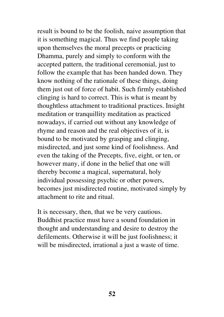result is bound to be the foolish, naive assumption that it is something magical. Thus we find people taking upon themselves the moral precepts or practicing Dhamma, purely and simply to conform with the accepted pattern, the traditional ceremonial, just to follow the example that has been handed down. They know nothing of the rationale of these things, doing them just out of force of habit. Such firmly established clinging is hard to correct. This is what is meant by thoughtless attachment to traditional practices. Insight meditation or tranquillity meditation as practiced nowadays, if carried out without any knowledge of rhyme and reason and the real objectives of it, is bound to be motivated by grasping and clinging, misdirected, and just some kind of foolishness. And even the taking of the Precepts, five, eight, or ten, or however many, if done in the belief that one will thereby become a magical, supernatural, holy individual possessing psychic or other powers, becomes just misdirected routine, motivated simply by attachment to rite and ritual.

It is necessary, then, that we be very cautious. Buddhist practice must have a sound foundation in thought and understanding and desire to destroy the defilements. Otherwise it will be just foolishness; it will be misdirected, irrational a just a waste of time.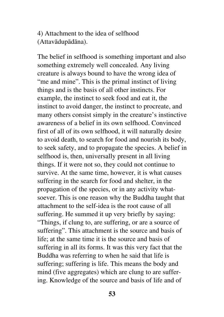4) Attachment to the idea of selfhood (Attavādupādāna).

The belief in selfhood is something important and also something extremely well concealed. Any living creature is always bound to have the wrong idea of "me and mine". This is the primal instinct of living things and is the basis of all other instincts. For example, the instinct to seek food and eat it, the instinct to avoid danger, the instinct to procreate, and many others consist simply in the creature's instinctive awareness of a belief in its own selfhood. Convinced first of all of its own selfhood, it will naturally desire to avoid death, to search for food and nourish its body, to seek safety, and to propagate the species. A belief in selfhood is, then, universally present in all living things. If it were not so, they could not continue to survive. At the same time, however, it is what causes suffering in the search for food and shelter, in the propagation of the species, or in any activity whatsoever. This is one reason why the Buddha taught that attachment to the self-idea is the root cause of all suffering. He summed it up very briefly by saying: "Things, if clung to, are suffering, or are a source of suffering". This attachment is the source and basis of life; at the same time it is the source and basis of suffering in all its forms. It was this very fact that the Buddha was referring to when he said that life is suffering; suffering is life. This means the body and mind (five aggregates) which are clung to are suffering. Knowledge of the source and basis of life and of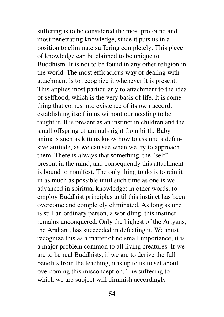suffering is to be considered the most profound and most penetrating knowledge, since it puts us in a position to eliminate suffering completely. This piece of knowledge can be claimed to be unique to Buddhism. It is not to be found in any other religion in the world. The most efficacious way of dealing with attachment is to recognize it whenever it is present. This applies most particularly to attachment to the idea of selfhood, which is the very basis of life. It is something that comes into existence of its own accord, establishing itself in us without our needing to be taught it. It is present as an instinct in children and the small offspring of animals right from birth. Baby animals such as kittens know how to assume a defensive attitude, as we can see when we try to approach them. There is always that something, the "self" present in the mind, and consequently this attachment is bound to manifest. The only thing to do is to rein it in as much as possible until such time as one is well advanced in spiritual knowledge; in other words, to employ Buddhist principles until this instinct has been overcome and completely eliminated. As long as one is still an ordinary person, a worldling, this instinct remains unconquered. Only the highest of the Ariyans, the Arahant, has succeeded in defeating it. We must recognize this as a matter of no small importance; it is a major problem common to all living creatures. If we are to be real Buddhists, if we are to derive the full benefits from the teaching, it is up to us to set about overcoming this misconception. The suffering to which we are subject will diminish accordingly.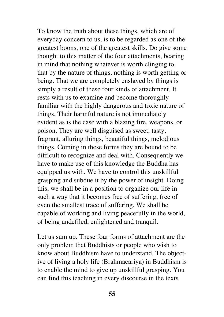To know the truth about these things, which are of everyday concern to us, is to be regarded as one of the greatest boons, one of the greatest skills. Do give some thought to this matter of the four attachments, bearing in mind that nothing whatever is worth clinging to, that by the nature of things, nothing is worth getting or being. That we are completely enslaved by things is simply a result of these four kinds of attachment. It rests with us to examine and become thoroughly familiar with the highly dangerous and toxic nature of things. Their harmful nature is not immediately evident as is the case with a blazing fire, weapons, or poison. They are well disguised as sweet, tasty, fragrant, alluring things, beautiful things, melodious things. Coming in these forms they are bound to be difficult to recognize and deal with. Consequently we have to make use of this knowledge the Buddha has equipped us with. We have to control this unskillful grasping and subdue it by the power of insight. Doing this, we shall be in a position to organize our life in such a way that it becomes free of suffering, free of even the smallest trace of suffering. We shall be capable of working and living peacefully in the world, of being undefiled, enlightened and tranquil.

Let us sum up. These four forms of attachment are the only problem that Buddhists or people who wish to know about Buddhism have to understand. The objective of living a holy life (Brahmacariya) in Buddhism is to enable the mind to give up unskillful grasping. You can find this teaching in every discourse in the texts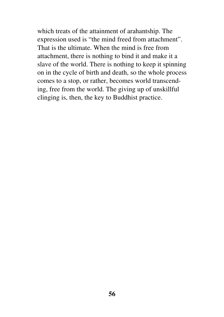which treats of the attainment of arahantship. The expression used is "the mind freed from attachment". That is the ultimate. When the mind is free from attachment, there is nothing to bind it and make it a slave of the world. There is nothing to keep it spinning on in the cycle of birth and death, so the whole process comes to a stop, or rather, becomes world transcending, free from the world. The giving up of unskillful clinging is, then, the key to Buddhist practice.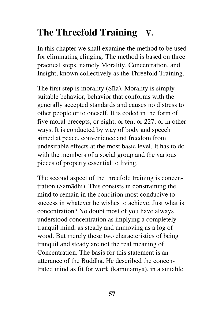## **The Threefold Training V.**

In this chapter we shall examine the method to be used for eliminating clinging. The method is based on three practical steps, namely Morality, Concentration, and Insight, known collectively as the Threefold Training.

The first step is morality (Sīla). Morality is simply suitable behavior, behavior that conforms with the generally accepted standards and causes no distress to other people or to oneself. It is coded in the form of five moral precepts, or eight, or ten, or 227, or in other ways. It is conducted by way of body and speech aimed at peace, convenience and freedom from undesirable effects at the most basic level. It has to do with the members of a social group and the various pieces of property essential to living.

The second aspect of the threefold training is concentration (Samādhi). This consists in constraining the mind to remain in the condition most conducive to success in whatever he wishes to achieve. Just what is concentration? No doubt most of you have always understood concentration as implying a completely tranquil mind, as steady and unmoving as a log of wood. But merely these two characteristics of being tranquil and steady are not the real meaning of Concentration. The basis for this statement is an utterance of the Buddha. He described the concentrated mind as fit for work (kammaniya), in a suitable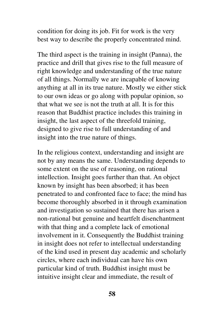condition for doing its job. Fit for work is the very best way to describe the properly concentrated mind.

The third aspect is the training in insight (Panna), the practice and drill that gives rise to the full measure of right knowledge and understanding of the true nature of all things. Normally we are incapable of knowing anything at all in its true nature. Mostly we either stick to our own ideas or go along with popular opinion, so that what we see is not the truth at all. It is for this reason that Buddhist practice includes this training in insight, the last aspect of the threefold training, designed to give rise to full understanding of and insight into the true nature of things.

In the religious context, understanding and insight are not by any means the same. Understanding depends to some extent on the use of reasoning, on rational intellection. Insight goes further than that. An object known by insight has been absorbed; it has been penetrated to and confronted face to face; the mind has become thoroughly absorbed in it through examination and investigation so sustained that there has arisen a non-rational but genuine and heartfelt disenchantment with that thing and a complete lack of emotional involvement in it. Consequently the Buddhist training in insight does not refer to intellectual understanding of the kind used in present day academic and scholarly circles, where each individual can have his own particular kind of truth. Buddhist insight must be intuitive insight clear and immediate, the result of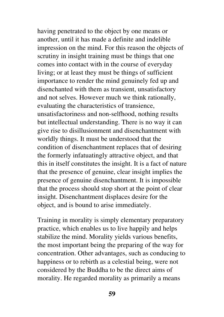having penetrated to the object by one means or another, until it has made a definite and indelible impression on the mind. For this reason the objects of scrutiny in insight training must be things that one comes into contact with in the course of everyday living; or at least they must be things of sufficient importance to render the mind genuinely fed up and disenchanted with them as transient, unsatisfactory and not selves. However much we think rationally, evaluating the characteristics of transience, unsatisfactoriness and non-selfhood, nothing results but intellectual understanding. There is no way it can give rise to disillusionment and disenchantment with worldly things. It must be understood that the condition of disenchantment replaces that of desiring the formerly infatuatingly attractive object, and that this in itself constitutes the insight. It is a fact of nature that the presence of genuine, clear insight implies the presence of genuine disenchantment. It is impossible that the process should stop short at the point of clear insight. Disenchantment displaces desire for the object, and is bound to arise immediately.

Training in morality is simply elementary preparatory practice, which enables us to live happily and helps stabilize the mind. Morality yields various benefits, the most important being the preparing of the way for concentration. Other advantages, such as conducing to happiness or to rebirth as a celestial being, were not considered by the Buddha to be the direct aims of morality. He regarded morality as primarily a means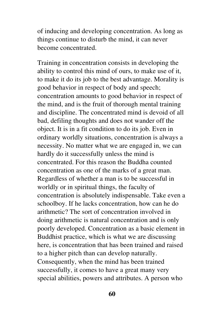of inducing and developing concentration. As long as things continue to disturb the mind, it can never become concentrated.

Training in concentration consists in developing the ability to control this mind of ours, to make use of it, to make it do its job to the best advantage. Morality is good behavior in respect of body and speech; concentration amounts to good behavior in respect of the mind, and is the fruit of thorough mental training and discipline. The concentrated mind is devoid of all bad, defiling thoughts and does not wander off the object. It is in a fit condition to do its job. Even in ordinary worldly situations, concentration is always a necessity. No matter what we are engaged in, we can hardly do it successfully unless the mind is concentrated. For this reason the Buddha counted concentration as one of the marks of a great man. Regardless of whether a man is to be successful in worldly or in spiritual things, the faculty of concentration is absolutely indispensable. Take even a schoolboy. If he lacks concentration, how can he do arithmetic? The sort of concentration involved in doing arithmetic is natural concentration and is only poorly developed. Concentration as a basic element in Buddhist practice, which is what we are discussing here, is concentration that has been trained and raised to a higher pitch than can develop naturally. Consequently, when the mind has been trained successfully, it comes to have a great many very special abilities, powers and attributes. A person who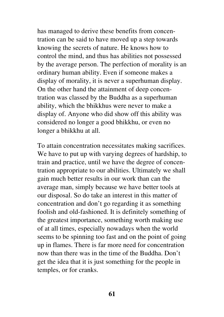has managed to derive these benefits from concentration can be said to have moved up a step towards knowing the secrets of nature. He knows how to control the mind, and thus has abilities not possessed by the average person. The perfection of morality is an ordinary human ability. Even if someone makes a display of morality, it is never a superhuman display. On the other hand the attainment of deep concentration was classed by the Buddha as a superhuman ability, which the bhikkhus were never to make a display of. Anyone who did show off this ability was considered no longer a good bhikkhu, or even no longer a bhikkhu at all.

To attain concentration necessitates making sacrifices. We have to put up with varying degrees of hardship, to train and practice, until we have the degree of concentration appropriate to our abilities. Ultimately we shall gain much better results in our work than can the average man, simply because we have better tools at our disposal. So do take an interest in this matter of concentration and don't go regarding it as something foolish and old-fashioned. It is definitely something of the greatest importance, something worth making use of at all times, especially nowadays when the world seems to be spinning too fast and on the point of going up in flames. There is far more need for concentration now than there was in the time of the Buddha. Don't get the idea that it is just something for the people in temples, or for cranks.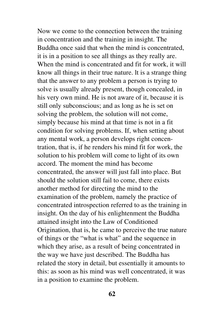Now we come to the connection between the training in concentration and the training in insight. The Buddha once said that when the mind is concentrated, it is in a position to see all things as they really are. When the mind is concentrated and fit for work, it will know all things in their true nature. lt is a strange thing that the answer to any problem a person is trying to solve is usually already present, though concealed, in his very own mind. He is not aware of it, because it is still only subconscious; and as long as he is set on solving the problem, the solution will not come, simply because his mind at that time is not in a fit condition for solving problems. If, when setting about any mental work, a person develops right concentration, that is, if he renders his mind fit for work, the solution to his problem will come to light of its own accord. The moment the mind has become concentrated, the answer will just fall into place. But should the solution still fail to come, there exists another method for directing the mind to the examination of the problem, namely the practice of concentrated introspection referred to as the training in insight. On the day of his enlightenment the Buddha attained insight into the Law of Conditioned Origination, that is, he came to perceive the true nature of things or the "what is what" and the sequence in which they arise, as a result of being concentrated in the way we have just described. The Buddha has related the story in detail, but essentially it amounts to this: as soon as his mind was well concentrated, it was in a position to examine the problem.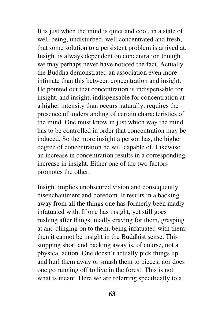It is just when the mind is quiet and cool, in a state of well-being, undisturbed, well concentrated and fresh, that some solution to a persistent problem is arrived at. Insight is always dependent on concentration though we may perhaps never have noticed the fact. Actually the Buddha demonstrated an association even more intimate than this between concentration and insight. He pointed out that concentration is indispensable for insight, and insight, indispensable for concentration at a higher intensity than occurs naturally, requires the presence of understanding of certain characteristics of the mind. One must know in just which way the mind has to be controlled in order that concentration may be induced. So the more insight a person has, the higher degree of concentration he will capable of. Likewise an increase in concentration results in a corresponding increase in insight. Either one of the two factors promotes the other.

Insight implies unobscured vision and consequently disenchantment and boredom. It results in a backing away from all the things one has formerly been madly infatuated with. If one has insight, yet still goes rushing after things, madly craving for them, grasping at and clinging on to them, being infatuated with them; then it cannot be insight in the Buddhist sense. This stopping short and backing away is, of course, not a physical action. One doesn't actually pick things up and hurl them away or smash them to pieces, nor does one go running off to live in the forest. This is not what is meant. Here we are referring specifically to a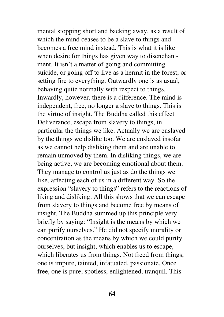mental stopping short and backing away, as a result of which the mind ceases to be a slave to things and becomes a free mind instead. This is what it is like when desire for things has given way to disenchantment. It isn't a matter of going and committing suicide, or going off to live as a hermit in the forest, or setting fire to everything. Outwardly one is as usual, behaving quite normally with respect to things. Inwardly, however, there is a difference. The mind is independent, free, no longer a slave to things. This is the virtue of insight. The Buddha called this effect Deliverance, escape from slavery to things, in particular the things we like. Actually we are enslaved by the things we dislike too. We are enslaved insofar as we cannot help disliking them and are unable to remain unmoved by them. In disliking things, we are being active, we are becoming emotional about them. They manage to control us just as do the things we like, affecting each of us in a different way. So the expression "slavery to things" refers to the reactions of liking and disliking. All this shows that we can escape from slavery to things and become free by means of insight. The Buddha summed up this principle very briefly by saying: "Insight is the means by which we can purify ourselves." He did not specify morality or concentration as the means by which we could purify ourselves, but insight, which enables us to escape, which liberates us from things. Not freed from things, one is impure, tainted, infatuated, passionate. Once free, one is pure, spotless, enlightened, tranquil. This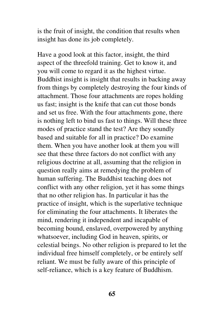is the fruit of insight, the condition that results when insight has done its job completely.

Have a good look at this factor, insight, the third aspect of the threefold training. Get to know it, and you will come to regard it as the highest virtue. Buddhist insight is insight that results in backing away from things by completely destroying the four kinds of attachment. Those four attachments are ropes holding us fast; insight is the knife that can cut those bonds and set us free. With the four attachments gone, there is nothing left to bind us fast to things. Will these three modes of practice stand the test? Are they soundly based and suitable for all in practice? Do examine them. When you have another look at them you will see that these three factors do not conflict with any religious doctrine at all, assuming that the religion in question really aims at remedying the problem of human suffering. The Buddhist teaching does not conflict with any other religion, yet it has some things that no other religion has. In particular it has the practice of insight, which is the superlative technique for eliminating the four attachments. It liberates the mind, rendering it independent and incapable of becoming bound, enslaved, overpowered by anything whatsoever, including God in heaven, spirits, or celestial beings. No other religion is prepared to let the individual free himself completely, or be entirely self reliant. We must be fully aware of this principle of self-reliance, which is a key feature of Buddhism.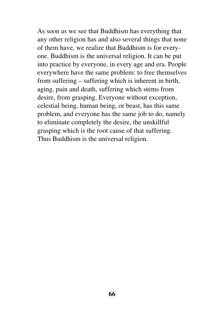As soon as we see that Buddhism has everything that any other religion has and also several things that none of them have, we realize that Buddhism is for everyone. Buddhism is the universal religion. It can be put into practice by everyone, in every age and era. People everywhere have the same problem: to free themselves from suffering – suffering which is inherent in birth, aging, pain and death, suffering which stems from desire, from grasping. Everyone without exception, celestial being, human being, or beast, has this same problem, and everyone has the same job to do, namely to eliminate completely the desire, the unskillful grasping which is the root cause of that suffering. Thus Buddhism is the universal religion.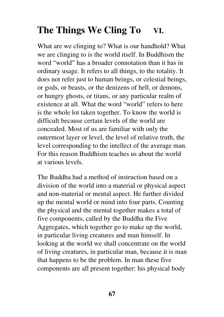## The Things We Cling To VI.

What are we clinging to? What is our handhold? What we are clinging to is the world itself. In Buddhism the word "world" has a broader connotation than it has in ordinary usage. It refers to all things, to the totality. It does not refer just to human beings, or celestial beings, or gods, or beasts, or the denizens of hell, or demons, or hungry ghosts, or titans, or any particular realm of existence at all. What the word "world" refers to here is the whole lot taken together. To know the world is difficult because certain levels of the world are concealed. Most of us are familiar with only the outermost layer or level, the level of relative truth, the level corresponding to the intellect of the average man. For this reason Buddhism teaches us about the world at various levels.

The Buddha had a method of instruction based on a division of the world into a material or physical aspect and non-material or mental aspect. He further divided up the mental world or mind into four parts. Counting the physical and the mental together makes a total of five components, called by the Buddha the Five Aggregates, which together go to make up the world, in particular living creatures and man himself. In looking at the world we shall concentrate on the world of living creatures, in particular man, because it is man that happens to be the problem. In man these five components are all present together: his physical body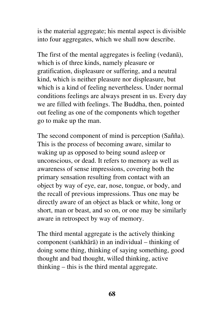is the material aggregate; his mental aspect is divisible into four aggregates, which we shall now describe.

The first of the mental aggregates is feeling (vedanā), which is of three kinds, namely pleasure or gratification, displeasure or suffering, and a neutral kind, which is neither pleasure nor displeasure, but which is a kind of feeling nevertheless. Under normal conditions feelings are always present in us. Every day we are filled with feelings. The Buddha, then, pointed out feeling as one of the components which together go to make up the man.

The second component of mind is perception (Sañña). This is the process of becoming aware, similar to waking up as opposed to being sound asleep or unconscious, or dead. It refers to memory as well as awareness of sense impressions, covering both the primary sensation resulting from contact with an object by way of eye, ear, nose, tongue, or body, and the recall of previous impressions. Thus one may be directly aware of an object as black or white, long or short, man or beast, and so on, or one may be similarly aware in retrospect by way of memory.

The third mental aggregate is the actively thinking component (sankhārā) in an individual – thinking of doing some thing, thinking of saying something, good thought and bad thought, willed thinking, active thinking – this is the third mental aggregate.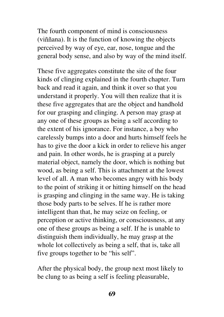The fourth component of mind is consciousness (viññana). It is the function of knowing the objects perceived by way of eye, ear, nose, tongue and the general body sense, and also by way of the mind itself.

These five aggregates constitute the site of the four kinds of clinging explained in the fourth chapter. Turn back and read it again, and think it over so that you understand it properly. You will then realize that it is these five aggregates that are the object and handhold for our grasping and clinging. A person may grasp at any one of these groups as being a self according to the extent of his ignorance. For instance, a boy who carelessly bumps into a door and hurts himself feels he has to give the door a kick in order to relieve his anger and pain. In other words, he is grasping at a purely material object, namely the door, which is nothing but wood, as being a self. This is attachment at the lowest level of all. A man who becomes angry with his body to the point of striking it or hitting himself on the head is grasping and clinging in the same way. He is taking those body parts to be selves. If he is rather more intelligent than that, he may seize on feeling, or perception or active thinking, or consciousness, at any one of these groups as being a self. If he is unable to distinguish them individually, he may grasp at the whole lot collectively as being a self, that is, take all five groups together to be "his self".

After the physical body, the group next most likely to be clung to as being a self is feeling pleasurable,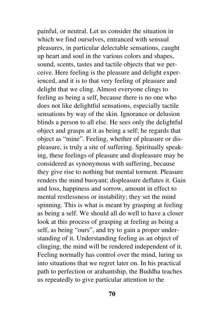painful, or neutral. Let us consider the situation in which we find ourselves, entranced with sensual pleasures, in particular delectable sensations, caught up heart and soul in the various colors and shapes, sound, scents, tastes and tactile objects that we perceive. Here feeling is the pleasure and delight experienced, and it is to that very feeling of pleasure and delight that we cling. Almost everyone clings to feeling as being a self, because there is no one who does not like delightful sensations, especially tactile sensations by way of the skin. Ignorance or delusion blinds a person to all else. He sees only the delightful object and grasps at it as being a self; he regards that object as "mine". Feeling, whether of pleasure or displeasure, is truly a site of suffering. Spiritually speaking, these feelings of pleasure and displeasure may be considered as synonymous with suffering, because they give rise to nothing but mental torment. Pleasure renders the mind buoyant; displeasure deflates it. Gain and loss, happiness and sorrow, amount in effect to mental restlessness or instability; they set the mind spinning. This is what is meant by grasping at feeling as being a self. We should all do well to have a closer look at this process of grasping at feeling as being a self, as being "ours", and try to gain a proper understanding of it. Understanding feeling as an object of clinging, the mind will be rendered independent of it. Feeling normally has control over the mind, luring us into situations that we regret later on. In his practical path to perfection or arahantship, the Buddha teaches us repeatedly to give particular attention to the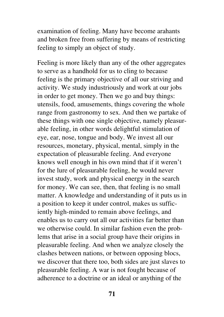examination of feeling. Many have become arahants and broken free from suffering by means of restricting feeling to simply an object of study.

Feeling is more likely than any of the other aggregates to serve as a handhold for us to cling to because feeling is the primary objective of all our striving and activity. We study industriously and work at our jobs in order to get money. Then we go and buy things: utensils, food, amusements, things covering the whole range from gastronomy to sex. And then we partake of these things with one single objective, namely pleasurable feeling, in other words delightful stimulation of eye, ear, nose, tongue and body. We invest all our resources, monetary, physical, mental, simply in the expectation of pleasurable feeling. And everyone knows well enough in his own mind that if it weren't for the lure of pleasurable feeling, he would never invest study, work and physical energy in the search for money. We can see, then, that feeling is no small matter. A knowledge and understanding of it puts us in a position to keep it under control, makes us sufficiently high-minded to remain above feelings, and enables us to carry out all our activities far better than we otherwise could. In similar fashion even the problems that arise in a social group have their origins in pleasurable feeling. And when we analyze closely the clashes between nations, or between opposing blocs, we discover that there too, both sides are just slaves to pleasurable feeling. A war is not fought because of adherence to a doctrine or an ideal or anything of the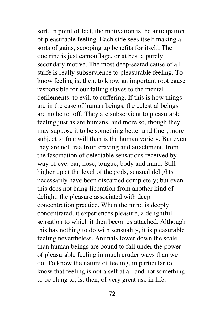sort. In point of fact, the motivation is the anticipation of pleasurable feeling. Each side sees itself making all sorts of gains, scooping up benefits for itself. The doctrine is just camouflage, or at best a purely secondary motive. The most deep-seated cause of all strife is really subservience to pleasurable feeling. To know feeling is, then, to know an important root cause responsible for our falling slaves to the mental defilements, to evil, to suffering. If this is how things are in the case of human beings, the celestial beings are no better off. They are subservient to pleasurable feeling just as are humans, and more so, though they may suppose it to be something better and finer, more subject to free will than is the human variety. But even they are not free from craving and attachment, from the fascination of delectable sensations received by way of eye, ear, nose, tongue, body and mind. Still higher up at the level of the gods, sensual delights necessarily have been discarded completely; but even this does not bring liberation from another kind of delight, the pleasure associated with deep concentration practice. When the mind is deeply concentrated, it experiences pleasure, a delightful sensation to which it then becomes attached. Although this has nothing to do with sensuality, it is pleasurable feeling nevertheless. Animals lower down the scale than human beings are bound to fall under the power of pleasurable feeling in much cruder ways than we do. To know the nature of feeling, in particular to know that feeling is not a self at all and not something to be clung to, is, then, of very great use in life.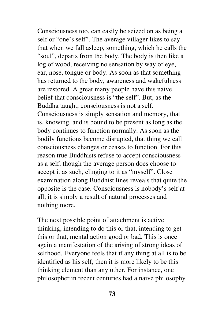Consciousness too, can easily be seized on as being a self or "one's self". The average villager likes to say that when we fall asleep, something, which he calls the "soul", departs from the body. The body is then like a log of wood, receiving no sensation by way of eye, ear, nose, tongue or body. As soon as that something has returned to the body, awareness and wakefulness are restored. A great many people have this naive belief that consciousness is "the self". But, as the Buddha taught, consciousness is not a self. Consciousness is simply sensation and memory, that is, knowing, and is bound to be present as long as the body continues to function normally. As soon as the bodily functions become disrupted, that thing we call consciousness changes or ceases to function. For this reason true Buddhists refuse to accept consciousness as a self, though the average person does choose to accept it as such, clinging to it as "myself". Close examination along Buddhist lines reveals that quite the opposite is the case. Consciousness is nobody's self at all; it is simply a result of natural processes and nothing more.

The next possible point of attachment is active thinking, intending to do this or that, intending to get this or that, mental action good or bad. This is once again a manifestation of the arising of strong ideas of selfhood. Everyone feels that if any thing at all is to be identified as his self, then it is more likely to be this thinking element than any other. For instance, one philosopher in recent centuries had a naive philosophy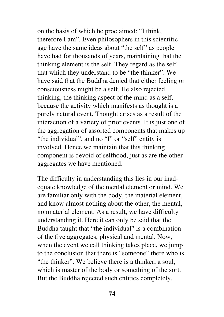on the basis of which he proclaimed: "I think, therefore I am". Even philosophers in this scientific age have the same ideas about "the self" as people have had for thousands of years, maintaining that the thinking element is the self. They regard as the self that which they understand to be "the thinker". We have said that the Buddha denied that either feeling or consciousness might be a self. He also rejected thinking, the thinking aspect of the mind as a self, because the activity which manifests as thought is a purely natural event. Thought arises as a result of the interaction of a variety of prior events. It is just one of the aggregation of assorted components that makes up "the individual", and no "I" or "self" entity is involved. Hence we maintain that this thinking component is devoid of selfhood, just as are the other aggregates we have mentioned.

The difficulty in understanding this lies in our inadequate knowledge of the mental element or mind. We are familiar only with the body, the material element, and know almost nothing about the other, the mental, nonmaterial element. As a result, we have difficulty understanding it. Here it can only be said that the Buddha taught that "the individual" is a combination of the five aggregates, physical and mental. Now, when the event we call thinking takes place, we jump to the conclusion that there is "someone" there who is "the thinker". We believe there is a thinker, a soul, which is master of the body or something of the sort. But the Buddha rejected such entities completely.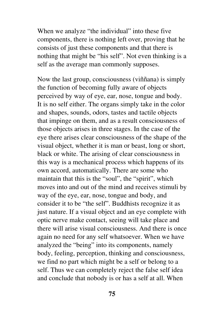When we analyze "the individual" into these five components, there is nothing left over, proving that he consists of just these components and that there is nothing that might be "his self". Not even thinking is a self as the average man commonly supposes.

Now the last group, consciousness (viññana) is simply the function of becoming fully aware of objects perceived by way of eye, ear, nose, tongue and body. It is no self either. The organs simply take in the color and shapes, sounds, odors, tastes and tactile objects that impinge on them, and as a result consciousness of those objects arises in three stages. In the case of the eye there arises clear consciousness of the shape of the visual object, whether it is man or beast, long or short, black or white. The arising of clear consciousness in this way is a mechanical process which happens of its own accord, automatically. There are some who maintain that this is the "soul", the "spirit", which moves into and out of the mind and receives stimuli by way of the eye, ear, nose, tongue and body, and consider it to be "the self". Buddhists recognize it as just nature. If a visual object and an eye complete with optic nerve make contact, seeing will take place and there will arise visual consciousness. And there is once again no need for any self whatsoever. When we have analyzed the "being" into its components, namely body, feeling, perception, thinking and consciousness, we find no part which might be a self or belong to a self. Thus we can completely reject the false self idea and conclude that nobody is or has a self at all. When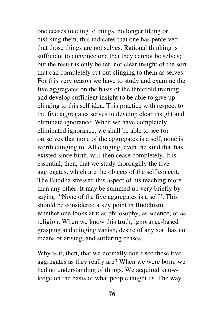one ceases to cling to things, no longer liking or disliking them, this indicates that one has perceived that those things are not selves. Rational thinking is sufficient to convince one that they cannot be selves; but the result is only belief, not clear insight of the sort that can completely cut out clinging to them as selves. For this very reason we have to study and examine the five aggregates on the basis of the threefold training and develop sufficient insight to be able to give up clinging to this self idea. This practice with respect to the five aggregates serves to develop clear insight and eliminate ignorance. When we have completely eliminated ignorance, we shall be able to see for ourselves that none of the aggregates is a self, none is worth clinging to. All clinging, even the kind that has existed since birth, will then cease completely. It is essential, then, that we study thoroughly the five aggregates, which are the objects of the self conceit. The Buddha stressed this aspect of his teaching more than any other. It may be summed up very briefly by saying: "None of the five aggregates is a self". This should be considered a key point in Buddhism, whether one looks at it as philosophy, as science, or as religion. When we know this truth, ignorance-based grasping and clinging vanish, desire of any sort has no means of arising, and suffering ceases.

Why is it, then, that we normally don't see these five aggregates as they really are? When we were born, we had no understanding of things. We acquired knowledge on the basis of what people taught us. The way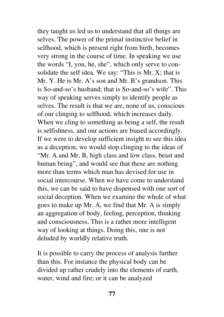they taught us led us to understand that all things are selves. The power of the primal instinctive belief in selfhood, which is present right from birth, becomes very strong in the course of time. In speaking we use the words "I, you, he, she", which only serve to consolidate the self idea. We say: "This is Mr. X; that is Mr. Y. He is Mr. A's son and Mr. B's grandson. This is So-and-so's husband; that is So-and-so's wife". This way of speaking serves simply to identify people as selves. The result is that we are, none of us, conscious of our clinging to selfhood, which increases daily. When we cling to something as being a self, the result is selfishness, and our actions are biased accordingly. If we were to develop sufficient insight to see this idea as a deception, we would stop clinging to the ideas of "Mr. A and Mr. B, high class and low class, beast and human being", and would see that these are nothing more than terms which man has devised for use in social intercourse. When we have come to understand this, we can be said to have dispensed with one sort of social deception. When we examine the whole of what goes to make up Mr. A, we find that Mr. A is simply an aggregation of body, feeling, perception, thinking and consciousness. This is a rather more intelligent way of looking at things. Doing this, one is not deluded by worldly relative truth.

It is possible to carry the process of analysis further than this. For instance the physical body can be divided up rather crudely into the elements of earth, water, wind and fire; or it can be analyzed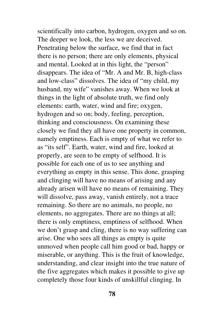scientifically into carbon, hydrogen, oxygen and so on. The deeper we look, the less we are deceived. Penetrating below the surface, we find that in fact there is no person; there are only elements, physical and mental. Looked at in this light, the "person" disappears. The idea of "Mr. A and Mr. B, high-class and low-class" dissolves. The idea of "my child, my husband, my wife" vanishes away. When we look at things in the light of absolute truth, we find only elements: earth, water, wind and fire; oxygen, hydrogen and so on; body, feeling, perception, thinking and consciousness. On examining these closely we find they all have one property in common, namely emptiness. Each is empty of what we refer to as "its self". Earth, water, wind and fire, looked at properly, are seen to be empty of selfhood. It is possible for each one of us to see anything and everything as empty in this sense. This done, grasping and clinging will have no means of arising and any already arisen will have no means of remaining. They will dissolve, pass away, vanish entirely, not a trace remaining. So there are no animals, no people, no elements, no aggregates. There are no things at all; there is only emptiness, emptiness of selfhood. When we don't grasp and cling, there is no way suffering can arise. One who sees all things as empty is quite unmoved when people call him good or bad, happy or miserable, or anything. This is the fruit of knowledge, understanding, and clear insight into the true nature of the five aggregates which makes it possible to give up completely those four kinds of unskillful clinging. In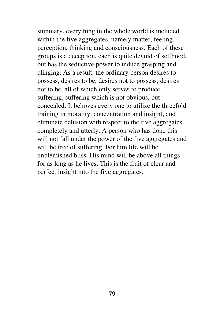summary, everything in the whole world is included within the five aggregates, namely matter, feeling, perception, thinking and consciousness. Each of these groups is a deception, each is quite devoid of selfhood, but has the seductive power to induce grasping and clinging. As a result, the ordinary person desires to possess, desires to be, desires not to possess, desires not to be, all of which only serves to produce suffering, suffering which is not obvious, but concealed. It behoves every one to utilize the threefold training in morality, concentration and insight, and eliminate delusion with respect to the five aggregates completely and utterly. A person who has done this will not fall under the power of the five aggregates and will be free of suffering. For him life will be unblemished bliss. His mind will be above all things for as long as he lives. This is the fruit of clear and perfect insight into the five aggregates.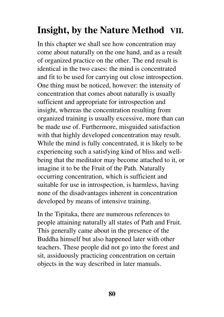## **Insight, by the Nature Method VII.**

In this chapter we shall see how concentration may come about naturally on the one hand, and as a result of organized practice on the other. The end result is identical in the two cases: the mind is concentrated and fit to be used for carrying out close introspection. One thing must be noticed, however: the intensity of concentration that comes about naturally is usually sufficient and appropriate for introspection and insight, whereas the concentration resulting from organized training is usually excessive, more than can be made use of. Furthermore, misguided satisfaction with that highly developed concentration may result. While the mind is fully concentrated, it is likely to be experiencing such a satisfying kind of bliss and wellbeing that the meditator may become attached to it, or imagine it to be the Fruit of the Path. Naturally occurring concentration, which is sufficient and suitable for use in introspection, is harmless, having none of the disadvantages inherent in concentration developed by means of intensive training.

In the Tipitaka, there are numerous references to people attaining naturally all states of Path and Fruit. This generally came about in the presence of the Buddha himself but also happened later with other teachers. These people did not go into the forest and sit, assiduously practicing concentration on certain objects in the way described in later manuals.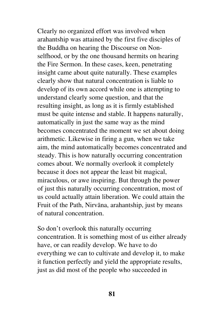Clearly no organized effort was involved when arahantship was attained by the first five disciples of the Buddha on hearing the Discourse on Nonselfhood, or by the one thousand hermits on hearing the Fire Sermon. In these cases, keen, penetrating insight came about quite naturally. These examples clearly show that natural concentration is liable to develop of its own accord while one is attempting to understand clearly some question, and that the resulting insight, as long as it is firmly established must be quite intense and stable. It happens naturally, automatically in just the same way as the mind becomes concentrated the moment we set about doing arithmetic. Likewise in firing a gun, when we take aim, the mind automatically becomes concentrated and steady. This is how naturally occurring concentration comes about. We normally overlook it completely because it does not appear the least bit magical, miraculous, or awe inspiring. But through the power of just this naturally occurring concentration, most of us could actually attain liberation. We could attain the Fruit of the Path, Nirvāna, arahantship, just by means of natural concentration.

So don't overlook this naturally occurring concentration. It is something most of us either already have, or can readily develop. We have to do everything we can to cultivate and develop it, to make it function perfectly and yield the appropriate results, just as did most of the people who succeeded in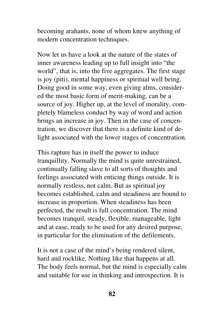becoming arahants, none of whom knew anything of modern concentration techniques.

Now let us have a look at the nature of the states of inner awareness leading up to full insight into "the world", that is, into the five aggregates. The first stage is joy (piti), mental happiness or spiritual well being. Doing good in some way, even giving alms, considered the most basic form of merit-making, can be a source of joy. Higher up, at the level of morality, completely blameless conduct by way of word and action brings an increase in joy. Then in the case of concentration, we discover that there is a definite kind of delight associated with the lower stages of concentration.

This rapture has in itself the power to induce tranquillity. Normally the mind is quite unrestrained, continually falling slave to all sorts of thoughts and feelings associated with enticing things outside. It is normally restless, not calm. But as spiritual joy becomes established, calm and steadiness are bound to increase in proportion. When steadiness has been perfected, the result is full concentration. The mind becomes tranquil, steady, flexible, manageable, light and at ease, ready to be used for any desired purpose, in particular for the elimination of the defilements.

It is not a case of the mind's being rendered silent, hard and rocklike. Nothing like that happens at all. The body feels normal, but the mind is especially calm and suitable for use in thinking and introspection. It is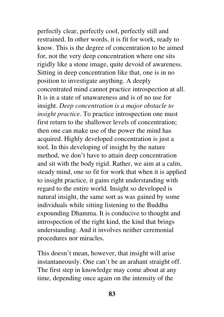perfectly clear, perfectly cool, perfectly still and restrained. In other words, it is fit for work, ready to know. This is the degree of concentration to be aimed for, not the very deep concentration where one sits rigidly like a stone image, quite devoid of awareness. Sitting in deep concentration like that, one is in no position to investigate anything. A deeply concentrated mind cannot practice introspection at all. It is in a state of unawareness and is of no use for insight. *Deep concentration is a major obstacle to insight practice*. To practice introspection one must first return to the shallower levels of concentration; then one can make use of the power the mind has acquired. Highly developed concentration is just a tool. In this developing of insight by the nature method, we don't have to attain deep concentration and sit with the body rigid. Rather, we aim at a calm, steady mind, one so fit for work that when it is applied to insight practice, it gains right understanding with regard to the entire world. Insight so developed is natural insight, the same sort as was gained by some individuals while sitting listening to the Buddha expounding Dhamma. It is conducive to thought and introspection of the right kind, the kind that brings understanding. And it involves neither ceremonial procedures nor miracles.

This doesn't mean, however, that insight will arise instantaneously. One can't be an arahant straight off. The first step in knowledge may come about at any time, depending once again on the intensity of the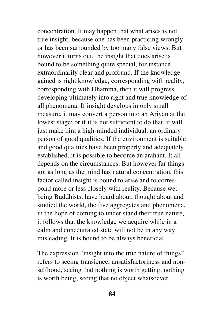concentration. It may happen that what arises is not true insight, because one has been practicing wrongly or has been surrounded by too many false views. But however it turns out, the insight that does arise is bound to be something quite special, for instance extraordinarily clear and profound. If the knowledge gained is right knowledge, corresponding with reality, corresponding with Dhamma, then it will progress, developing ultimately into right and true knowledge of all phenomena. If insight develops in only small measure, it may convert a person into an Ariyan at the lowest stage; or if it is not sufficient to do that, it will just make him a high-minded individual, an ordinary person of good qualities. If the environment is suitable and good qualities have been properly and adequately established, it is possible to become an arahant. It all depends on the circumstances. But however far things go, as long as the mind has natural concentration, this factor called insight is bound to arise and to correspond more or less closely with reality. Because we, being Buddhists, have heard about, thought about and studied the world, the five aggregates and phenomena, in the hope of coming to under stand their true nature, it follows that the knowledge we acquire while in a calm and concentrated state will not be in any way misleading. It is bound to be always beneficial.

The expression "insight into the true nature of things" refers to seeing transience, unsatisfactoriness and nonselfhood, seeing that nothing is worth getting, nothing is worth being, seeing that no object whatsoever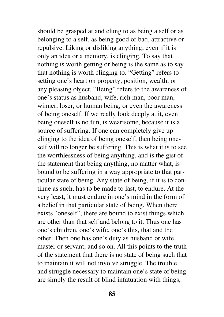should be grasped at and clung to as being a self or as belonging to a self, as being good or bad, attractive or repulsive. Liking or disliking anything, even if it is only an idea or a memory, is clinging. To say that nothing is worth getting or being is the same as to say that nothing is worth clinging to. "Getting" refers to setting one's heart on property, position, wealth, or any pleasing object. "Being" refers to the awareness of one's status as husband, wife, rich man, poor man, winner, loser, or human being, or even the awareness of being oneself. If we really look deeply at it, even being oneself is no fun, is wearisome, because it is a source of suffering. If one can completely give up clinging to the idea of being oneself, then being oneself will no longer be suffering. This is what it is to see the worthlessness of being anything, and is the gist of the statement that being anything, no matter what, is bound to be suffering in a way appropriate to that particular state of being. Any state of being, if it is to continue as such, has to be made to last, to endure. At the very least, it must endure in one's mind in the form of a belief in that particular state of being. When there exists "oneself", there are bound to exist things which are other than that self and belong to it. Thus one has one's children, one's wife, one's this, that and the other. Then one has one's duty as husband or wife, master or servant, and so on. All this points to the truth of the statement that there is no state of being such that to maintain it will not involve struggle. The trouble and struggle necessary to maintain one's state of being are simply the result of blind infatuation with things,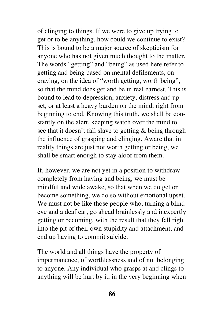of clinging to things. If we were to give up trying to get or to be anything, how could we continue to exist? This is bound to be a major source of skepticism for anyone who has not given much thought to the matter. The words "getting" and "being" as used here refer to getting and being based on mental defilements, on craving, on the idea of "worth getting, worth being", so that the mind does get and be in real earnest. This is bound to lead to depression, anxiety, distress and upset, or at least a heavy burden on the mind, right from beginning to end. Knowing this truth, we shall be constantly on the alert, keeping watch over the mind to see that it doesn't fall slave to getting & being through the influence of grasping and clinging. Aware that in reality things are just not worth getting or being, we shall be smart enough to stay aloof from them.

If, however, we are not yet in a position to withdraw completely from having and being, we must be mindful and wide awake, so that when we do get or become something, we do so without emotional upset. We must not be like those people who, turning a blind eye and a deaf ear, go ahead brainlessly and inexpertly getting or becoming, with the result that they fall right into the pit of their own stupidity and attachment, and end up having to commit suicide.

The world and all things have the property of impermanence, of worthlessness and of not belonging to anyone. Any individual who grasps at and clings to anything will be hurt by it, in the very beginning when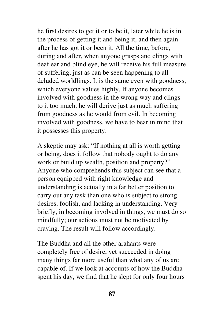he first desires to get it or to be it, later while he is in the process of getting it and being it, and then again after he has got it or been it. All the time, before, during and after, when anyone grasps and clings with deaf ear and blind eye, he will receive his full measure of suffering, just as can be seen happening to all deluded worldlings. It is the same even with goodness, which everyone values highly. If anyone becomes involved with goodness in the wrong way and clings to it too much, he will derive just as much suffering from goodness as he would from evil. In becoming involved with goodness, we have to bear in mind that it possesses this property.

A skeptic may ask: "If nothing at all is worth getting or being, does it follow that nobody ought to do any work or build up wealth, position and property?" Anyone who comprehends this subject can see that a person equipped with right knowledge and understanding is actually in a far better position to carry out any task than one who is subject to strong desires, foolish, and lacking in understanding. Very briefly, in becoming involved in things, we must do so mindfully; our actions must not be motivated by craving. The result will follow accordingly.

The Buddha and all the other arahants were completely free of desire, yet succeeded in doing many things far more useful than what any of us are capable of. If we look at accounts of how the Buddha spent his day, we find that he slept for only four hours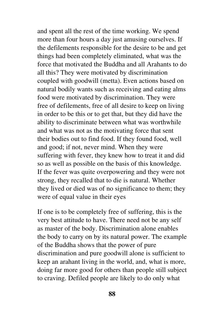and spent all the rest of the time working. We spend more than four hours a day just amusing ourselves. If the defilements responsible for the desire to be and get things had been completely eliminated, what was the force that motivated the Buddha and all Arahants to do all this? They were motivated by discrimination coupled with goodwill (metta). Even actions based on natural bodily wants such as receiving and eating alms food were motivated by discrimination. They were free of defilements, free of all desire to keep on living in order to be this or to get that, but they did have the ability to discriminate between what was worthwhile and what was not as the motivating force that sent their bodies out to find food. If they found food, well and good; if not, never mind. When they were suffering with fever, they knew how to treat it and did so as well as possible on the basis of this knowledge. If the fever was quite overpowering and they were not strong, they recalled that to die is natural. Whether they lived or died was of no significance to them; they were of equal value in their eyes

If one is to be completely free of suffering, this is the very best attitude to have. There need not be any self as master of the body. Discrimination alone enables the body to carry on by its natural power. The example of the Buddha shows that the power of pure discrimination and pure goodwill alone is sufficient to keep an arahant living in the world, and, what is more, doing far more good for others than people still subject to craving. Defiled people are likely to do only what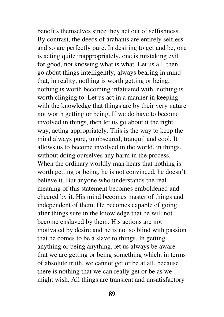benefits themselves since they act out of selfishness. By contrast, the deeds of arahants are entirely selfless and so are perfectly pure. In desiring to get and be, one is acting quite inappropriately, one is mistaking evil for good, not knowing what is what. Let us all, then, go about things intelligently, always bearing in mind that, in reality, nothing is worth getting or being, nothing is worth becoming infatuated with, nothing is worth clinging to. Let us act in a manner in keeping with the knowledge that things are by their very nature not worth getting or being. If we do have to become involved in things, then let us go about it the right way, acting appropriately. This is the way to keep the mind always pure, unobscured, tranquil and cool. It allows us to become involved in the world, in things, without doing ourselves any harm in the process. When the ordinary worldly man hears that nothing is worth getting or being, he is not convinced, he doesn't believe it. But anyone who understands the real meaning of this statement becomes emboldened and cheered by it. His mind becomes master of things and independent of them. He becomes capable of going after things sure in the knowledge that he will not become enslaved by them. His actions are not motivated by desire and he is not so blind with passion that he comes to be a slave to things. In getting anything or being anything, let us always be aware that we are getting or being something which, in terms of absolute truth, we cannot get or be at all, because there is nothing that we can really get or be as we might wish. All things are transient and unsatisfactory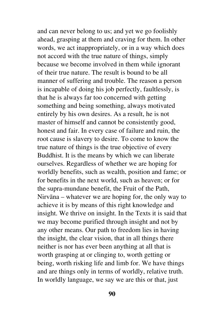and can never belong to us; and yet we go foolishly ahead, grasping at them and craving for them. In other words, we act inappropriately, or in a way which does not accord with the true nature of things, simply because we become involved in them while ignorant of their true nature. The result is bound to be all manner of suffering and trouble. The reason a person is incapable of doing his job perfectly, faultlessly, is that he is always far too concerned with getting something and being something, always motivated entirely by his own desires. As a result, he is not master of himself and cannot be consistently good, honest and fair. In every case of failure and ruin, the root cause is slavery to desire. To come to know the true nature of things is the true objective of every Buddhist. It is the means by which we can liberate ourselves. Regardless of whether we are hoping for worldly benefits, such as wealth, position and fame; or for benefits in the next world, such as heaven; or for the supra-mundane benefit, the Fruit of the Path, Nirvāna – whatever we are hoping for, the only way to achieve it is by means of this right knowledge and insight. We thrive on insight. In the Texts it is said that we may become purified through insight and not by any other means. Our path to freedom lies in having the insight, the clear vision, that in all things there neither is nor has ever been anything at all that is worth grasping at or clinging to, worth getting or being, worth risking life and limb for. We have things and are things only in terms of worldly, relative truth. In worldly language, we say we are this or that, just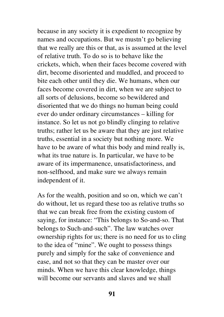because in any society it is expedient to recognize by names and occupations. But we mustn't go believing that we really are this or that, as is assumed at the level of relative truth. To do so is to behave like the crickets, which, when their faces become covered with dirt, become disoriented and muddled, and proceed to bite each other until they die. We humans, when our faces become covered in dirt, when we are subject to all sorts of delusions, become so bewildered and disoriented that we do things no human being could ever do under ordinary circumstances – killing for instance. So let us not go blindly clinging to relative truths; rather let us be aware that they are just relative truths, essential in a society but nothing more. We have to be aware of what this body and mind really is, what its true nature is. In particular, we have to be aware of its impermanence, unsatisfactoriness, and non-selfhood, and make sure we always remain independent of it.

As for the wealth, position and so on, which we can't do without, let us regard these too as relative truths so that we can break free from the existing custom of saying, for instance: "This belongs to So-and-so. That belongs to Such-and-such". The law watches over ownership rights for us; there is no need for us to cling to the idea of "mine". We ought to possess things purely and simply for the sake of convenience and ease, and not so that they can be master over our minds. When we have this clear knowledge, things will become our servants and slaves and we shall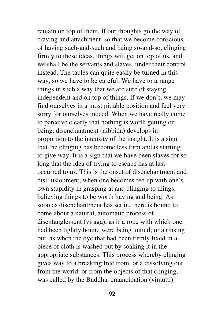remain on top of them. If our thoughts go the way of craving and attachment, so that we become conscious of having such-and-such and being so-and-so, clinging firmly to these ideas, things will get on top of us, and we shall be the servants and slaves, under their control instead. The tables can quite easily be turned in this way, so we have to be careful. We have to arrange things in such a way that we are sure of staying independent and on top of things. If we don't, we may find ourselves in a most pitiable position and feel very sorry for ourselves indeed. When we have really come to perceive clearly that nothing is worth getting or being, disenchantment (nibbida) develops in proportion to the intensity of the insight. It is a sign that the clinging has become less firm and is starting to give way. It is a sign that we have been slaves for so long that the idea of trying to escape has at last occurred to us. This is the onset of disenchantment and disillusionment, when one becomes fed up with one's own stupidity in grasping at and clinging to things, believing things to be worth having and being. As soon as disenchantment has set in, there is bound to come about a natural, automatic process of disentanglement (virāga), as if a rope with which one had been tightly bound were being untied; or a rinsing out, as when the dye that had been firmly fixed in a piece of cloth is washed out by soaking it in the appropriate substances. This process whereby clinging gives way to a breaking free from, or a dissolving out from the world, or from the objects of that clinging, was called by the Buddha, emancipation (vimutti).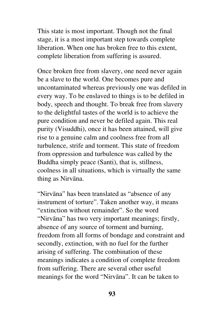This state is most important. Though not the final stage, it is a most important step towards complete liberation. When one has broken free to this extent, complete liberation from suffering is assured.

Once broken free from slavery, one need never again be a slave to the world. One becomes pure and uncontaminated whereas previously one was defiled in every way. To be enslaved to things is to be defiled in body, speech and thought. To break free from slavery to the delightful tastes of the world is to achieve the pure condition and never be defiled again. This real purity (Visuddhi), once it has been attained, will give rise to a genuine calm and coolness free from all turbulence, strife and torment. This state of freedom from oppression and turbulence was called by the Buddha simply peace (Santi), that is, stillness, coolness in all situations, which is virtually the same thing as Nirvāna.

"Nirvāna" has been translated as "absence of any instrument of torture". Taken another way, it means "extinction without remainder". So the word "Nirvāna" has two very important meanings; firstly, absence of any source of torment and burning, freedom from all forms of bondage and constraint and secondly, extinction, with no fuel for the further arising of suffering. The combination of these meanings indicates a condition of complete freedom from suffering. There are several other useful meanings for the word "Nirvāna". It can be taken to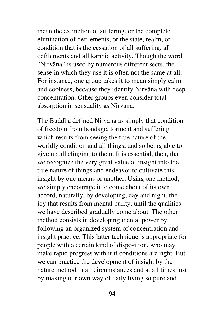mean the extinction of suffering, or the complete elimination of defilements, or the state, realm, or condition that is the cessation of all suffering, all defilements and all karmic activity. Though the word "Nirvāna" is used by numerous different sects, the sense in which they use it is often not the same at all. For instance, one group takes it to mean simply calm and coolness, because they identify Nirvāna with deep concentration. Other groups even consider total absorption in sensuality as Nirvāna.

The Buddha defined Nirvāna as simply that condition of freedom from bondage, torment and suffering which results from seeing the true nature of the worldly condition and all things, and so being able to give up all clinging to them. It is essential, then, that we recognize the very great value of insight into the true nature of things and endeavor to cultivate this insight by one means or another. Using one method, we simply encourage it to come about of its own accord, naturally, by developing, day and night, the joy that results from mental purity, until the qualities we have described gradually come about. The other method consists in developing mental power by following an organized system of concentration and insight practice. This latter technique is appropriate for people with a certain kind of disposition, who may make rapid progress with it if conditions are right. But we can practice the development of insight by the nature method in all circumstances and at all times just by making our own way of daily living so pure and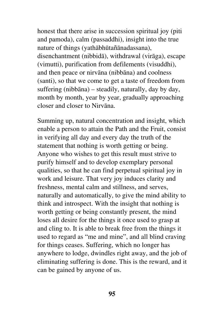honest that there arise in succession spiritual joy (piti and pamoda), calm (passaddhi), insight into the true nature of things (yathābhūtañānadassana), disenchantment (nibbidā), withdrawal (virāga), escape (vimutti), purification from defilements (visuddhi), and then peace or nirvāna (nibbāna) and coolness (santi), so that we come to get a taste of freedom from suffering (nibbāna) – steadily, naturally, day by day, month by month, year by year, gradually approaching closer and closer to Nirvāna.

Summing up, natural concentration and insight, which enable a person to attain the Path and the Fruit, consist in verifying all day and every day the truth of the statement that nothing is worth getting or being. Anyone who wishes to get this result must strive to purify himself and to develop exemplary personal qualities, so that he can find perpetual spiritual joy in work and leisure. That very joy induces clarity and freshness, mental calm and stillness, and serves, naturally and automatically, to give the mind ability to think and introspect. With the insight that nothing is worth getting or being constantly present, the mind loses all desire for the things it once used to grasp at and cling to. It is able to break free from the things it used to regard as "me and mine", and all blind craving for things ceases. Suffering, which no longer has anywhere to lodge, dwindles right away, and the job of eliminating suffering is done. This is the reward, and it can be gained by anyone of us.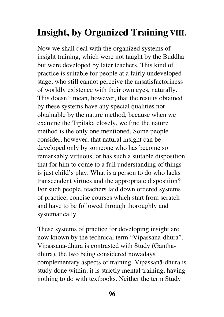## **Insight, by Organized Training VIII.**

Now we shall deal with the organized systems of insight training, which were not taught by the Buddha but were developed by later teachers. This kind of practice is suitable for people at a fairly undeveloped stage, who still cannot perceive the unsatisfactoriness of worldly existence with their own eyes, naturally. This doesn't mean, however, that the results obtained by these systems have any special qualities not obtainable by the nature method, because when we examine the Tipitaka closely, we find the nature method is the only one mentioned. Some people consider, however, that natural insight can be developed only by someone who has become so remarkably virtuous, or has such a suitable disposition, that for him to come to a full understanding of things is just child's play. What is a person to do who lacks transcendent virtues and the appropriate disposition? For such people, teachers laid down ordered systems of practice, concise courses which start from scratch and have to be followed through thoroughly and systematically.

These systems of practice for developing insight are now known by the technical term "Vipassana-dhura". Vipassanā-dhura is contrasted with Study (Ganthadhura), the two being considered nowadays complementary aspects of training. Vipassanā-dhura is study done within; it is strictly mental training, having nothing to do with textbooks. Neither the term Study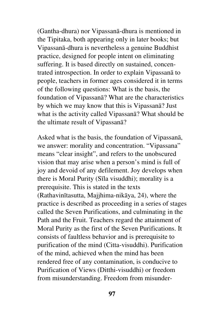(Gantha-dhura) nor Vipassanā-dhura is mentioned in the Tipitaka, both appearing only in later books; but Vipassanā-dhura is nevertheless a genuine Buddhist practice, designed for people intent on eliminating suffering. It is based directly on sustained, concentrated introspection. In order to explain Vipassanā to people, teachers in former ages considered it in terms of the following questions: What is the basis, the foundation of Vipassanā? What are the characteristics by which we may know that this is Vipassanā? Just what is the activity called Vipassanā? What should be the ultimate result of Vipassanā?

Asked what is the basis, the foundation of Vipassanā, we answer: morality and concentration. "Vipassana" means "clear insight", and refers to the unobscured vision that may arise when a person's mind is full of joy and devoid of any defilement. Joy develops when there is Moral Purity (Sīla visuddhi); morality is a prerequisite. This is stated in the texts (Rathavinītasutta, Majjhima-nikāya, 24), where the practice is described as proceeding in a series of stages called the Seven Purifications, and culminating in the Path and the Fruit. Teachers regard the attainment of Moral Purity as the first of the Seven Purifications. It consists of faultless behavior and is prerequisite to purification of the mind (Citta-visuddhi). Purification of the mind, achieved when the mind has been rendered free of any contamination, is conducive to Purification of Views (Ditthi-visuddhi) or freedom from misunderstanding. Freedom from misunder-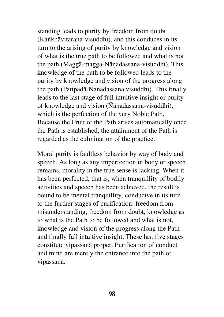standing leads to purity by freedom from doubt  $(Ka\nu)$  is a know  $(Ka\nu)$  is  $(Ka\nu)$  is a known  $(Ka\nu)$  is  $(Ka\nu)$  is a known  $(Ka\nu)$  is a known  $(Ka\nu)$  is a known  $(Ka\nu)$  is a known  $(Ka\nu)$  is a known  $(Ka\nu)$  is a known  $(Ka\nu)$  is a known  $(Ka\nu)$  is a known  $(Ka\nu)$  is turn to the arising of purity by knowledge and vision of what is the true path to be followed and what is not the path (Maggā-magga-Ñāṇadassana-visuddhi). This knowledge of the path to be followed leads to the purity by knowledge and vision of the progress along the path (Patipadā-Ñanadassana visuddhi). This finally leads to the last stage of full intuitive insight or purity of knowledge and vision (Ñānadassana-visuddhi), which is the perfection of the very Noble Path. Because the Fruit of the Path arises automatically once the Path is established, the attainment of the Path is regarded as the culmination of the practice.

Moral purity is faultless behavior by way of body and speech. As long as any imperfection in body or speech remains, morality in the true sense is lacking. When it has been perfected, that is, when tranquillity of bodily activities and speech has been achieved, the result is bound to be mental tranquillity, conducive in its turn to the further stages of purification: freedom from misunderstanding, freedom from doubt, knowledge as to what is the Path to be followed and what is not, knowledge and vision of the progress along the Path and finally full intuitive insight. These last five stages constitute vipassanā proper. Purification of conduct and mind are merely the entrance into the path of vipassanā.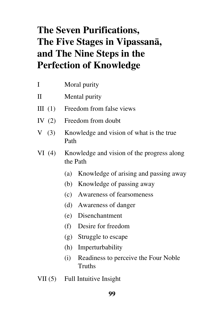## **The Seven Purifications, The Five Stages in Vipassanā, and The Nine Steps in the Perfection of Knowledge**

- I Moral purity
- II Mental purity
- III (1) Freedom from false views
- IV (2) Freedom from doubt
- V (3) Knowledge and vision of what is the true Path
- VI (4) Knowledge and vision of the progress along the Path
	- (a) Knowledge of arising and passing away
	- (b) Knowledge of passing away
	- (c) Awareness of fearsomeness
	- (d) Awareness of danger
	- (e) Disenchantment
	- (f) Desire for freedom
	- (g) Struggle to escape
	- (h) Imperturbability
	- (i) Readiness to perceive the Four Noble **Truths**
- VII (5) Full Intuitive Insight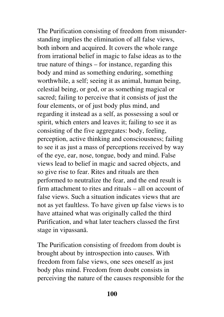The Purification consisting of freedom from misunderstanding implies the elimination of all false views, both inborn and acquired. It covers the whole range from irrational belief in magic to false ideas as to the true nature of things – for instance, regarding this body and mind as something enduring, something worthwhile, a self; seeing it as animal, human being, celestial being, or god, or as something magical or sacred; failing to perceive that it consists of just the four elements, or of just body plus mind, and regarding it instead as a self, as possessing a soul or spirit, which enters and leaves it; failing to see it as consisting of the five aggregates: body, feeling, perception, active thinking and consciousness; failing to see it as just a mass of perceptions received by way of the eye, ear, nose, tongue, body and mind. False views lead to belief in magic and sacred objects, and so give rise to fear. Rites and rituals are then performed to neutralize the fear, and the end result is firm attachment to rites and rituals – all on account of false views. Such a situation indicates views that are not as yet faultless. To have given up false views is to have attained what was originally called the third Purification, and what later teachers classed the first stage in vipassanā.

The Purification consisting of freedom from doubt is brought about by introspection into causes. With freedom from false views, one sees oneself as just body plus mind. Freedom from doubt consists in perceiving the nature of the causes responsible for the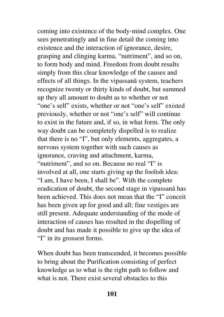coming into existence of the body-mind complex. One sees penetratingly and in fine detail the coming into existence and the interaction of ignorance, desire, grasping and clinging karma, "nutriment", and so on, to form body and mind. Freedom from doubt results simply from this clear knowledge of the causes and effects of all things. In the vipassanā system, teachers recognize twenty or thirty kinds of doubt, but summed up they all amount to doubt as to whether or not "one's self" exists, whether or not "one's self" existed previously, whether or not "one's self" will continue to exist in the future and, if so, in what form. The only way doubt can be completely dispelled is to realize that there is no "I", but only elements, aggregates, a nervous system together with such causes as ignorance, craving and attachment, karma, "nutriment", and so on. Because no real "I" is involved at all, one starts giving up the foolish idea: "I am, I have been, I shall be". With the complete eradication of doubt, the second stage in vipassanā has been achieved. This does not mean that the "I" conceit has been given up for good and all; fine vestiges are still present. Adequate understanding of the mode of interaction of causes has resulted in the dispelling of doubt and has made it possible to give up the idea of "I" in its grossest forms.

When doubt has been transcended, it becomes possible to bring about the Purification consisting of perfect knowledge as to what is the right path to follow and what is not. There exist several obstacles to this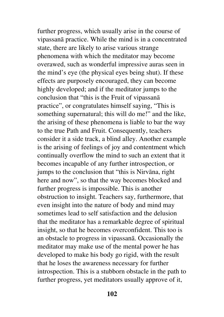further progress, which usually arise in the course of vipassanā practice. While the mind is in a concentrated state, there are likely to arise various strange phenomena with which the meditator may become overawed, such as wonderful impressive auras seen in the mind's eye (the physical eyes being shut). If these effects are purposely encouraged, they can become highly developed; and if the meditator jumps to the conclusion that "this is the Fruit of vipassanā practice", or congratulates himself saying, "This is something supernatural; this will do me!" and the like, the arising of these phenomena is liable to bar the way to the true Path and Fruit. Consequently, teachers consider it a side track, a blind alley. Another example is the arising of feelings of joy and contentment which continually overflow the mind to such an extent that it becomes incapable of any further introspection, or jumps to the conclusion that "this is Nirvāna, right here and now", so that the way becomes blocked and further progress is impossible. This is another obstruction to insight. Teachers say, furthermore, that even insight into the nature of body and mind may sometimes lead to self satisfaction and the delusion that the meditator has a remarkable degree of spiritual insight, so that he becomes overconfident. This too is an obstacle to progress in vipassanā. Occasionally the meditator may make use of the mental power he has developed to make his body go rigid, with the result that he loses the awareness necessary for further introspection. This is a stubborn obstacle in the path to further progress, yet meditators usually approve of it,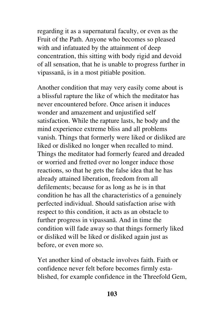regarding it as a supernatural faculty, or even as the Fruit of the Path. Anyone who becomes so pleased with and infatuated by the attainment of deep concentration, this sitting with body rigid and devoid of all sensation, that he is unable to progress further in vipassanā, is in a most pitiable position.

Another condition that may very easily come about is a blissful rapture the like of which the meditator has never encountered before. Once arisen it induces wonder and amazement and unjustified self satisfaction. While the rapture lasts, he body and the mind experience extreme bliss and all problems vanish. Things that formerly were liked or disliked are liked or disliked no longer when recalled to mind. Things the meditator had formerly feared and dreaded or worried and fretted over no longer induce those reactions, so that he gets the false idea that he has already attained liberation, freedom from all defilements; because for as long as he is in that condition he has all the characteristics of a genuinely perfected individual. Should satisfaction arise with respect to this condition, it acts as an obstacle to further progress in vipassanā. And in time the condition will fade away so that things formerly liked or disliked will be liked or disliked again just as before, or even more so.

Yet another kind of obstacle involves faith. Faith or confidence never felt before becomes firmly established, for example confidence in the Threefold Gem,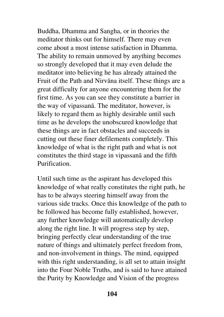Buddha, Dhamma and Sangha, or in theories the meditator thinks out for himself. There may even come about a most intense satisfaction in Dhamma. The ability to remain unmoved by anything becomes so strongly developed that it may even delude the meditator into believing he has already attained the Fruit of the Path and Nirvāna itself. These things are a great difficulty for anyone encountering them for the first time. As you can see they constitute a barrier in the way of vipassanā. The meditator, however, is likely to regard them as highly desirable until such time as he develops the unobscured knowledge that these things are in fact obstacles and succeeds in cutting out these finer defilements completely. This knowledge of what is the right path and what is not constitutes the third stage in vipassanā and the fifth Purification.

Until such time as the aspirant has developed this knowledge of what really constitutes the right path, he has to be always steering himself away from the various side tracks. Once this knowledge of the path to be followed has become fully established, however, any further knowledge will automatically develop along the right line. It will progress step by step, bringing perfectly clear understanding of the true nature of things and ultimately perfect freedom from, and non-involvement in things. The mind, equipped with this right understanding, is all set to attain insight into the Four Noble Truths, and is said to have attained the Purity by Knowledge and Vision of the progress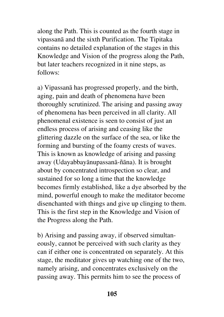along the Path. This is counted as the fourth stage in vipassanā and the sixth Purification. The Tipitaka contains no detailed explanation of the stages in this Knowledge and Vision of the progress along the Path, but later teachers recognized in it nine steps, as follows:

a) Vipassanā has progressed properly, and the birth, aging, pain and death of phenomena have been thoroughly scrutinized. The arising and passing away of phenomena has been perceived in all clarity. All phenomenal existence is seen to consist of just an endless process of arising and ceasing like the glittering dazzle on the surface of the sea, or like the forming and bursting of the foamy crests of waves. This is known as knowledge of arising and passing away (Udayabbayānupassanā-ñāna). It is brought about by concentrated introspection so clear, and sustained for so long a time that the knowledge becomes firmly established, like a dye absorbed by the mind, powerful enough to make the meditator become disenchanted with things and give up clinging to them. This is the first step in the Knowledge and Vision of the Progress along the Path.

b) Arising and passing away, if observed simultaneously, cannot be perceived with such clarity as they can if either one is concentrated on separately. At this stage, the meditator gives up watching one of the two, namely arising, and concentrates exclusively on the passing away. This permits him to see the process of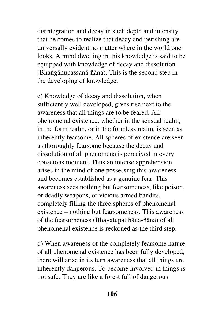disintegration and decay in such depth and intensity that he comes to realize that decay and perishing are universally evident no matter where in the world one looks. A mind dwelling in this knowledge is said to be equipped with knowledge of decay and dissolution  $(Bhaiqānupassanā-ñāna)$ . This is the second step in the developing of knowledge.

c) Knowledge of decay and dissolution, when sufficiently well developed, gives rise next to the awareness that all things are to be feared. All phenomenal existence, whether in the sensual realm, in the form realm, or in the formless realm, is seen as inherently fearsome. All spheres of existence are seen as thoroughly fearsome because the decay and dissolution of all phenomena is perceived in every conscious moment. Thus an intense apprehension arises in the mind of one possessing this awareness and becomes established as a genuine fear. This awareness sees nothing but fearsomeness, like poison, or deadly weapons, or vicious armed bandits, completely filling the three spheres of phenomenal existence – nothing but fearsomeness. This awareness of the fearsomeness (Bhayatupatthāna-ñāna) of all phenomenal existence is reckoned as the third step.

d) When awareness of the completely fearsome nature of all phenomenal existence has been fully developed, there will arise in its turn awareness that all things are inherently dangerous. To become involved in things is not safe. They are like a forest full of dangerous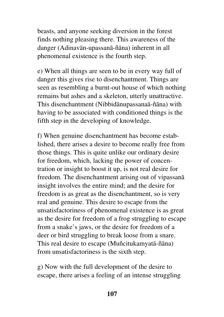beasts, and anyone seeking diversion in the forest finds nothing pleasing there. This awareness of the danger (Adinavān-upassanā-ñāna) inherent in all phenomenal existence is the fourth step.

e) When all things are seen to be in every way full of danger this gives rise to disenchantment. Things are seen as resembling a burnt-out house of which nothing remains but ashes and a skeleton, utterly unattractive. This disenchantment (Nibbidānupassanaā-ñāna) with having to be associated with conditioned things is the fifth step in the developing of knowledge.

f) When genuine disenchantment has become established, there arises a desire to become really free from those things. This is quite unlike our ordinary desire for freedom, which, lacking the power of concentration or insight to boost it up, is not real desire for freedom. The disenchantment arising out of vipassanā insight involves the entire mind; and the desire for freedom is as great as the disenchantment, so is very real and genuine. This desire to escape from the unsatisfactoriness of phenomenal existence is as great as the desire for freedom of a frog struggling to escape from a snake's jaws, or the desire for freedom of a deer or bird struggling to break loose from a snare. This real desire to escape (Muñcitukamyatā-ñāna) from unsatisfactoriness is the sixth step.

g) Now with the full development of the desire to escape, there arises a feeling of an intense struggling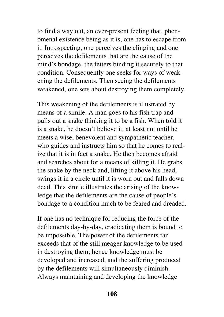to find a way out, an ever-present feeling that, phenomenal existence being as it is, one has to escape from it. Introspecting, one perceives the clinging and one perceives the defilements that are the cause of the mind's bondage, the fetters binding it securely to that condition. Consequently one seeks for ways of weakening the defilements. Then seeing the defilements weakened, one sets about destroying them completely.

This weakening of the defilements is illustrated by means of a simile. A man goes to his fish trap and pulls out a snake thinking it to be a fish. When told it is a snake, he doesn't believe it, at least not until he meets a wise, benevolent and sympathetic teacher, who guides and instructs him so that he comes to realize that it is in fact a snake. He then becomes afraid and searches about for a means of killing it. He grabs the snake by the neck and, lifting it above his head, swings it in a circle until it is worn out and falls down dead. This simile illustrates the arising of the knowledge that the defilements are the cause of people's bondage to a condition much to be feared and dreaded.

If one has no technique for reducing the force of the defilements day-by-day, eradicating them is bound to be impossible. The power of the defilements far exceeds that of the still meager knowledge to be used in destroying them; hence knowledge must be developed and increased, and the suffering produced by the defilements will simultaneously diminish. Always maintaining and developing the knowledge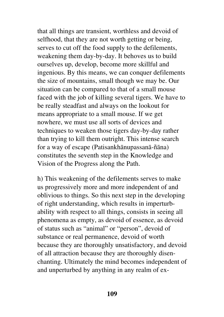that all things are transient, worthless and devoid of selfhood, that they are not worth getting or being, serves to cut off the food supply to the defilements, weakening them day-by-day. It behoves us to build ourselves up, develop, become more skillful and ingenious. By this means, we can conquer defilements the size of mountains, small though we may be. Our situation can be compared to that of a small mouse faced with the job of killing several tigers. We have to be really steadfast and always on the lookout for means appropriate to a small mouse. If we get nowhere, we must use all sorts of devices and techniques to weaken those tigers day-by-day rather than trying to kill them outright. This intense search for a way of escape (Patisankhānupassanā-ñāna) constitutes the seventh step in the Knowledge and Vision of the Progress along the Path.

h) This weakening of the defilements serves to make us progressively more and more independent of and oblivious to things. So this next step in the developing of right understanding, which results in imperturbability with respect to all things, consists in seeing all phenomena as empty, as devoid of essence, as devoid of status such as "animal" or "person", devoid of substance or real permanence, devoid of worth because they are thoroughly unsatisfactory, and devoid of all attraction because they are thoroughly disenchanting. Ultimately the mind becomes independent of and unperturbed by anything in any realm of ex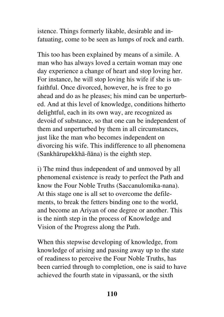istence. Things formerly likable, desirable and infatuating, come to be seen as lumps of rock and earth.

This too has been explained by means of a simile. A man who has always loved a certain woman may one day experience a change of heart and stop loving her. For instance, he will stop loving his wife if she is unfaithful. Once divorced, however, he is free to go ahead and do as he pleases; his mind can be unperturbed. And at this level of knowledge, conditions hitherto delightful, each in its own way, are recognized as devoid of substance, so that one can be independent of them and unperturbed by them in all circumstances, just like the man who becomes independent on divorcing his wife. This indifference to all phenomena (Sankhārupekkhā-ñāna) is the eighth step.

i) The mind thus independent of and unmoved by all phenomenal existence is ready to perfect the Path and know the Four Noble Truths (Saccanulomika-nana). At this stage one is all set to overcome the defilements, to break the fetters binding one to the world, and become an Ariyan of one degree or another. This is the ninth step in the process of Knowledge and Vision of the Progress along the Path.

When this stepwise developing of knowledge, from knowledge of arising and passing away up to the state of readiness to perceive the Four Noble Truths, has been carried through to completion, one is said to have achieved the fourth state in vipassanā, or the sixth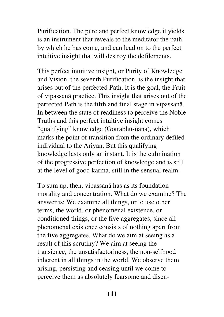Purification. The pure and perfect knowledge it yields is an instrument that reveals to the meditator the path by which he has come, and can lead on to the perfect intuitive insight that will destroy the defilements.

This perfect intuitive insight, or Purity of Knowledge and Vision, the seventh Purification, is the insight that arises out of the perfected Path. It is the goal, the Fruit of vipassanā practice. This insight that arises out of the perfected Path is the fifth and final stage in vipassanā. In between the state of readiness to perceive the Noble Truths and this perfect intuitive insight comes "qualifying" knowledge (Gotrabhū-ñāna), which marks the point of transition from the ordinary defiled individual to the Ariyan. But this qualifying knowledge lasts only an instant. It is the culmination of the progressive perfection of knowledge and is still at the level of good karma, still in the sensual realm.

To sum up, then, vipassanā has as its foundation morality and concentration. What do we examine? The answer is: We examine all things, or to use other terms, the world, or phenomenal existence, or conditioned things, or the five aggregates, since all phenomenal existence consists of nothing apart from the five aggregates. What do we aim at seeing as a result of this scrutiny? We aim at seeing the transience, the unsatisfactoriness, the non-selfhood inherent in all things in the world. We observe them arising, persisting and ceasing until we come to perceive them as absolutely fearsome and disen-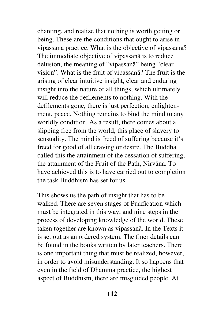chanting, and realize that nothing is worth getting or being. These are the conditions that ought to arise in vipassanā practice. What is the objective of vipassanā? The immediate objective of vipassanā is to reduce delusion, the meaning of "vipassanā" being "clear vision". What is the fruit of vipassanā? The fruit is the arising of clear intuitive insight, clear and enduring insight into the nature of all things, which ultimately will reduce the defilements to nothing. With the defilements gone, there is just perfection, enlightenment, peace. Nothing remains to bind the mind to any worldly condition. As a result, there comes about a slipping free from the world, this place of slavery to sensuality. The mind is freed of suffering because it's freed for good of all craving or desire. The Buddha called this the attainment of the cessation of suffering, the attainment of the Fruit of the Path, Nirvāna. To have achieved this is to have carried out to completion the task Buddhism has set for us.

This shows us the path of insight that has to be walked. There are seven stages of Purification which must be integrated in this way, and nine steps in the process of developing knowledge of the world. These taken together are known as vipassanā. In the Texts it is set out as an ordered system. The finer details can be found in the books written by later teachers. There is one important thing that must be realized, however, in order to avoid misunderstanding. It so happens that even in the field of Dhamma practice, the highest aspect of Buddhism, there are misguided people. At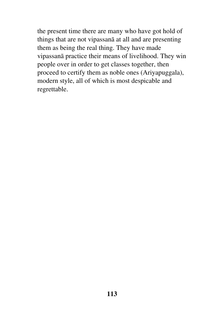the present time there are many who have got hold of things that are not vipassanā at all and are presenting them as being the real thing. They have made vipassanā practice their means of livelihood. They win people over in order to get classes together, then proceed to certify them as noble ones (Ariyapuggala), modern style, all of which is most despicable and regrettable.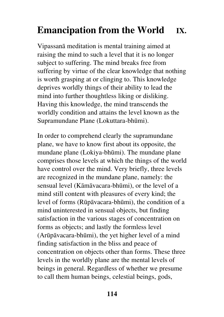# **Emancipation from the World IX.**

Vipassanā meditation is mental training aimed at raising the mind to such a level that it is no longer subject to suffering. The mind breaks free from suffering by virtue of the clear knowledge that nothing is worth grasping at or clinging to. This knowledge deprives worldly things of their ability to lead the mind into further thoughtless liking or disliking. Having this knowledge, the mind transcends the worldly condition and attains the level known as the Supramundane Plane (Lokuttara-bhūmi).

In order to comprehend clearly the supramundane plane, we have to know first about its opposite, the mundane plane (Lokiya-bhūmi). The mundane plane comprises those levels at which the things of the world have control over the mind. Very briefly, three levels are recognized in the mundane plane, namely: the sensual level (Kāmāvacara-bhūmi), or the level of a mind still content with pleasures of every kind; the level of forms (Rūpāvacara-bhūmi), the condition of a mind uninterested in sensual objects, but finding satisfaction in the various stages of concentration on forms as objects; and lastly the formless level (Arūpāvacara-bhūmi), the yet higher level of a mind finding satisfaction in the bliss and peace of concentration on objects other than forms. These three levels in the worldly plane are the mental levels of beings in general. Regardless of whether we presume to call them human beings, celestial beings, gods,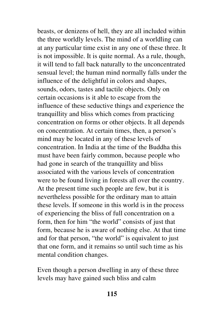beasts, or denizens of hell, they are all included within the three worldly levels. The mind of a worldling can at any particular time exist in any one of these three. It is not impossible. It is quite normal. As a rule, though, it will tend to fall back naturally to the unconcentrated sensual level; the human mind normally falls under the influence of the delightful in colors and shapes, sounds, odors, tastes and tactile objects. Only on certain occasions is it able to escape from the influence of these seductive things and experience the tranquillity and bliss which comes from practicing concentration on forms or other objects. It all depends on concentration. At certain times, then, a person's mind may be located in any of these levels of concentration. In India at the time of the Buddha this must have been fairly common, because people who had gone in search of the tranquillity and bliss associated with the various levels of concentration were to be found living in forests all over the country. At the present time such people are few, but it is nevertheless possible for the ordinary man to attain these levels. If someone in this world is in the process of experiencing the bliss of full concentration on a form, then for him "the world" consists of just that form, because he is aware of nothing else. At that time and for that person, "the world" is equivalent to just that one form, and it remains so until such time as his mental condition changes.

Even though a person dwelling in any of these three levels may have gained such bliss and calm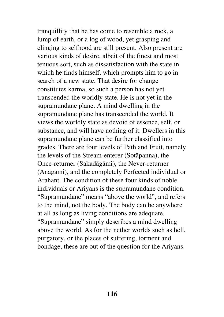tranquillity that he has come to resemble a rock, a lump of earth, or a log of wood, yet grasping and clinging to selfhood are still present. Also present are various kinds of desire, albeit of the finest and most tenuous sort, such as dissatisfaction with the state in which he finds himself, which prompts him to go in search of a new state. That desire for change constitutes karma, so such a person has not yet transcended the worldly state. He is not yet in the supramundane plane. A mind dwelling in the supramundane plane has transcended the world. It views the worldly state as devoid of essence, self, or substance, and will have nothing of it. Dwellers in this supramundane plane can be further classified into grades. There are four levels of Path and Fruit, namely the levels of the Stream-enterer (Sotāpanna), the Once-returner (Sakadāgāmi), the Never-returner (Anāgāmi), and the completely Perfected individual or Arahant. The condition of these four kinds of noble individuals or Ariyans is the supramundane condition. "Supramundane" means "above the world", and refers to the mind, not the body. The body can be anywhere at all as long as living conditions are adequate. "Supramundane" simply describes a mind dwelling above the world. As for the nether worlds such as hell, purgatory, or the places of suffering, torment and bondage, these are out of the question for the Ariyans.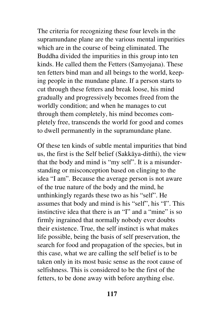The criteria for recognizing these four levels in the supramundane plane are the various mental impurities which are in the course of being eliminated. The Buddha divided the impurities in this group into ten kinds. He called them the Fetters (Samyojana). These ten fetters bind man and all beings to the world, keeping people in the mundane plane. If a person starts to cut through these fetters and break loose, his mind gradually and progressively becomes freed from the worldly condition; and when he manages to cut through them completely, his mind becomes completely free, transcends the world for good and comes to dwell permanently in the supramundane plane.

Of these ten kinds of subtle mental impurities that bind us, the first is the Self belief (Sakkāya-ditthi), the view that the body and mind is "my self". It is a misunderstanding or misconception based on clinging to the idea "I am". Because the average person is not aware of the true nature of the body and the mind, he unthinkingly regards these two as his "self". He assumes that body and mind is his "self", his "I". This instinctive idea that there is an "I" and a "mine" is so firmly ingrained that normally nobody ever doubts their existence. True, the self instinct is what makes life possible, being the basis of self preservation, the search for food and propagation of the species, but in this case, what we are calling the self belief is to be taken only in its most basic sense as the root cause of selfishness. This is considered to be the first of the fetters, to be done away with before anything else.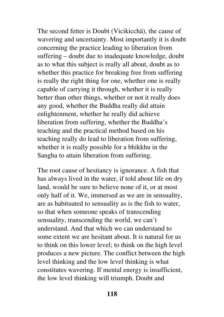The second fetter is Doubt (Vicikicchā), the cause of wavering and uncertainty. Most importantly it is doubt concerning the practice leading to liberation from suffering – doubt due to inadequate knowledge, doubt as to what this subject is really all about, doubt as to whether this practice for breaking free from suffering is really the right thing for one, whether one is really capable of carrying it through, whether it is really better than other things, whether or not it really does any good, whether the Buddha really did attain enlightenment, whether he really did achieve liberation from suffering, whether the Buddha's teaching and the practical method based on his teaching really do lead to liberation from suffering, whether it is really possible for a bhikkhu in the Sangha to attain liberation from suffering.

The root cause of hesitancy is ignorance. A fish that has always lived in the water, if told about life on dry land, would be sure to believe none of it, or at most only half of it. We, immersed as we are in sensuality, are as habituated to sensuality as is the fish to water, so that when someone speaks of transcending sensuality, transcending the world, we can't understand. And that which we can understand to some extent we are hesitant about. It is natural for us to think on this lower level; to think on the high level produces a new picture. The conflict between the high level thinking and the low level thinking is what constitutes wavering. If mental energy is insufficient, the low level thinking will triumph. Doubt and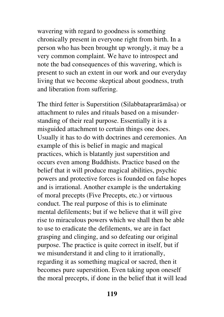wavering with regard to goodness is something chronically present in everyone right from birth. In a person who has been brought up wrongly, it may be a very common complaint. We have to introspect and note the bad consequences of this wavering, which is present to such an extent in our work and our everyday living that we become skeptical about goodness, truth and liberation from suffering.

The third fetter is Superstition (Silabbataprarāmāsa) or attachment to rules and rituals based on a misunderstanding of their real purpose. Essentially it is a misguided attachment to certain things one does. Usually it has to do with doctrines and ceremonies. An example of this is belief in magic and magical practices, which is blatantly just superstition and occurs even among Buddhists. Practice based on the belief that it will produce magical abilities, psychic powers and protective forces is founded on false hopes and is irrational. Another example is the undertaking of moral precepts (Five Precepts, etc.) or virtuous conduct. The real purpose of this is to eliminate mental defilements; but if we believe that it will give rise to miraculous powers which we shall then be able to use to eradicate the defilements, we are in fact grasping and clinging, and so defeating our original purpose. The practice is quite correct in itself, but if we misunderstand it and cling to it irrationally, regarding it as something magical or sacred, then it becomes pure superstition. Even taking upon oneself the moral precepts, if done in the belief that it will lead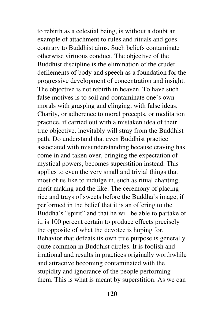to rebirth as a celestial being, is without a doubt an example of attachment to rules and rituals and goes contrary to Buddhist aims. Such beliefs contaminate otherwise virtuous conduct. The objective of the Buddhist discipline is the elimination of the cruder defilements of body and speech as a foundation for the progressive development of concentration and insight. The objective is not rebirth in heaven. To have such false motives is to soil and contaminate one's own morals with grasping and clinging, with false ideas. Charity, or adherence to moral precepts, or meditation practice, if carried out with a mistaken idea of their true objective. inevitably will stray from the Buddhist path. Do understand that even Buddhist practice associated with misunderstanding because craving has come in and taken over, bringing the expectation of mystical powers, becomes superstition instead. This applies to even the very small and trivial things that most of us like to indulge in, such as ritual chanting, merit making and the like. The ceremony of placing rice and trays of sweets before the Buddha's image, if performed in the belief that it is an offering to the Buddha's "spirit" and that he will be able to partake of it, is 100 percent certain to produce effects precisely the opposite of what the devotee is hoping for. Behavior that defeats its own true purpose is generally quite common in Buddhist circles. It is foolish and irrational and results in practices originally worthwhile and attractive becoming contaminated with the stupidity and ignorance of the people performing them. This is what is meant by superstition. As we can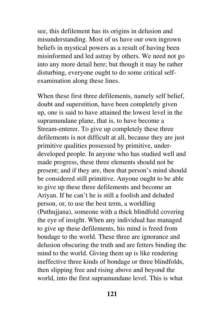see, this defilement has its origins in delusion and misunderstanding. Most of us have our own ingrown beliefs in mystical powers as a result of having been misinformed and led astray by others. We need not go into any more detail here; but though it may be rather disturbing, everyone ought to do some critical selfexamination along these lines.

When these first three defilements, namely self belief, doubt and superstition, have been completely given up, one is said to have attained the lowest level in the supramundane plane, that is, to have become a Stream-enterer. To give up completely these three defilements is not difficult at all, because they are just primitive qualities possessed by primitive, underdeveloped people. In anyone who has studied well and made progress, these three elements should not be present; and if they are, then that person's mind should be considered still primitive. Anyone ought to be able to give up these three defilements and become an Ariyan. If he can't he is still a foolish and deluded person, or, to use the best term, a worldling (Puthujjana), someone with a thick blindfold covering the eye of insight. When any individual has managed to give up these defilements, his mind is freed from bondage to the world. These three are ignorance and delusion obscuring the truth and are fetters binding the mind to the world. Giving them up is like rendering ineffective three kinds of bondage or three blindfolds, then slipping free and rising above and beyond the world, into the first supramundane level. This is what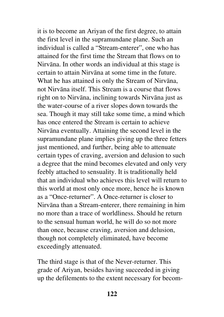it is to become an Ariyan of the first degree, to attain the first level in the supramundane plane. Such an individual is called a "Stream-enterer", one who has attained for the first time the Stream that flows on to Nirvāna. In other words an individual at this stage is certain to attain Nirvāna at some time in the future. What he has attained is only the Stream of Nirvāna, not Nirvāna itself. This Stream is a course that flows right on to Nirvāna, inclining towards Nirvāna just as the water-course of a river slopes down towards the sea. Though it may still take some time, a mind which has once entered the Stream is certain to achieve Nirvāna eventually. Attaining the second level in the supramundane plane implies giving up the three fetters just mentioned, and further, being able to attenuate certain types of craving, aversion and delusion to such a degree that the mind becomes elevated and only very feebly attached to sensuality. It is traditionally held that an individual who achieves this level will return to this world at most only once more, hence he is known as a "Once-returner". A Once-returner is closer to Nirvāna than a Stream-enterer, there remaining in him no more than a trace of worldliness. Should he return to the sensual human world, he will do so not more than once, because craving, aversion and delusion, though not completely eliminated, have become exceedingly attenuated.

The third stage is that of the Never-returner. This grade of Ariyan, besides having succeeded in giving up the defilements to the extent necessary for becom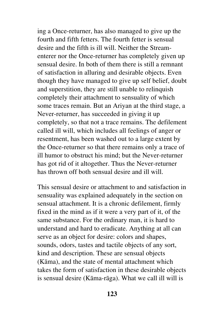ing a Once-returner, has also managed to give up the fourth and fifth fetters. The fourth fetter is sensual desire and the fifth is ill will. Neither the Streamenterer nor the Once-returner has completely given up sensual desire. In both of them there is still a remnant of satisfaction in alluring and desirable objects. Even though they have managed to give up self belief, doubt and superstition, they are still unable to relinquish completely their attachment to sensuality of which some traces remain. But an Ariyan at the third stage, a Never-returner, has succeeded in giving it up completely, so that not a trace remains. The defilement called ill will, which includes all feelings of anger or resentment, has been washed out to a large extent by the Once-returner so that there remains only a trace of ill humor to obstruct his mind; but the Never-returner has got rid of it altogether. Thus the Never-returner has thrown off both sensual desire and ill will.

This sensual desire or attachment to and satisfaction in sensuality was explained adequately in the section on sensual attachment. It is a chronic defilement, firmly fixed in the mind as if it were a very part of it, of the same substance. For the ordinary man, it is hard to understand and hard to eradicate. Anything at all can serve as an object for desire: colors and shapes, sounds, odors, tastes and tactile objects of any sort, kind and description. These are sensual objects (Kāma), and the state of mental attachment which takes the form of satisfaction in these desirable objects is sensual desire (Kāma-rāga). What we call ill will is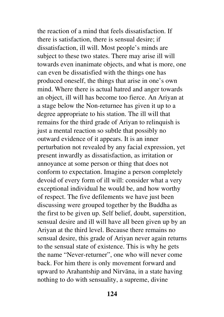the reaction of a mind that feels dissatisfaction. If there is satisfaction, there is sensual desire; if dissatisfaction, ill will. Most people's minds are subject to these two states. There may arise ill will towards even inanimate objects, and what is more, one can even be dissatisfied with the things one has produced oneself, the things that arise in one's own mind. Where there is actual hatred and anger towards an object, ill will has become too fierce. An Ariyan at a stage below the Non-returnee has given it up to a degree appropriate to his station. The ill will that remains for the third grade of Ariyan to relinquish is just a mental reaction so subtle that possibly no outward evidence of it appears. It is an inner perturbation not revealed by any facial expression, yet present inwardly as dissatisfaction, as irritation or annoyance at some person or thing that does not conform to expectation. Imagine a person completely devoid of every form of ill will: consider what a very exceptional individual he would be, and how worthy of respect. The five defilements we have just been discussing were grouped together by the Buddha as the first to be given up. Self belief, doubt, superstition, sensual desire and ill will have all been given up by an Ariyan at the third level. Because there remains no sensual desire, this grade of Ariyan never again returns to the sensual state of existence. This is why he gets the name "Never-returner", one who will never come back. For him there is only movement forward and upward to Arahantship and Nirvāna, in a state having nothing to do with sensuality, a supreme, divine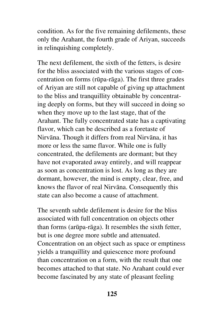condition. As for the five remaining defilements, these only the Arahant, the fourth grade of Ariyan, succeeds in relinquishing completely.

The next defilement, the sixth of the fetters, is desire for the bliss associated with the various stages of concentration on forms (rūpa-rāga). The first three grades of Ariyan are still not capable of giving up attachment to the bliss and tranquillity obtainable by concentrating deeply on forms, but they will succeed in doing so when they move up to the last stage, that of the Arahant. The fully concentrated state has a captivating flavor, which can be described as a foretaste of Nirvāna. Though it differs from real Nirvāna, it has more or less the same flavor. While one is fully concentrated, the defilements are dormant; but they have not evaporated away entirely, and will reappear as soon as concentration is lost. As long as they are dormant, however, the mind is empty, clear, free, and knows the flavor of real Nirvāna. Consequently this state can also become a cause of attachment.

The seventh subtle defilement is desire for the bliss associated with full concentration on objects other than forms (arūpa-rāga). It resembles the sixth fetter, but is one degree more subtle and attenuated. Concentration on an object such as space or emptiness yields a tranquillity and quiescence more profound than concentration on a form, with the result that one becomes attached to that state. No Arahant could ever become fascinated by any state of pleasant feeling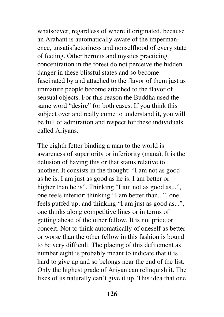whatsoever, regardless of where it originated, because an Arahant is automatically aware of the impermanence, unsatisfactoriness and nonselfhood of every state of feeling. Other hermits and mystics practicing concentration in the forest do not perceive the hidden danger in these blissful states and so become fascinated by and attached to the flavor of them just as immature people become attached to the flavor of sensual objects. For this reason the Buddha used the same word "desire" for both cases. If you think this subject over and really come to understand it, you will be full of admiration and respect for these individuals called Ariyans.

The eighth fetter binding a man to the world is awareness of superiority or inferiority (māna). It is the delusion of having this or that status relative to another. It consists in the thought: "I am not as good as he is. I am just as good as he is. I am better or higher than he is". Thinking "I am not as good as...", one feels inferior; thinking "I am better than...", one feels puffed up; and thinking "I am just as good as...", one thinks along competitive lines or in terms of getting ahead of the other fellow. It is not pride or conceit. Not to think automatically of oneself as better or worse than the other fellow in this fashion is bound to be very difficult. The placing of this defilement as number eight is probably meant to indicate that it is hard to give up and so belongs near the end of the list. Only the highest grade of Ariyan can relinquish it. The likes of us naturally can't give it up. This idea that one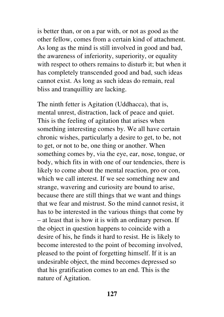is better than, or on a par with, or not as good as the other fellow, comes from a certain kind of attachment. As long as the mind is still involved in good and bad, the awareness of inferiority, superiority, or equality with respect to others remains to disturb it; but when it has completely transcended good and bad, such ideas cannot exist. As long as such ideas do remain, real bliss and tranquillity are lacking.

The ninth fetter is Agitation (Uddhacca), that is, mental unrest, distraction, lack of peace and quiet. This is the feeling of agitation that arises when something interesting comes by. We all have certain chronic wishes, particularly a desire to get, to be, not to get, or not to be, one thing or another. When something comes by, via the eye, ear, nose, tongue, or body, which fits in with one of our tendencies, there is likely to come about the mental reaction, pro or con, which we call interest. If we see something new and strange, wavering and curiosity are bound to arise, because there are still things that we want and things that we fear and mistrust. So the mind cannot resist, it has to be interested in the various things that come by – at least that is how it is with an ordinary person. If the object in question happens to coincide with a desire of his, he finds it hard to resist. He is likely to become interested to the point of becoming involved, pleased to the point of forgetting himself. If it is an undesirable object, the mind becomes depressed so that his gratification comes to an end. This is the nature of Agitation.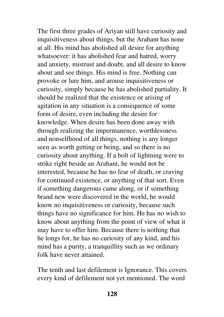The first three grades of Ariyan still have curiosity and inquisitiveness about things, but the Arahant has none at all. His mind has abolished all desire for anything whatsoever: it has abolished fear and hatred, worry and anxiety, mistrust and doubt, and all desire to know about and see things. His mind is free. Nothing can provoke or lure him, and arouse inquisitiveness or curiosity, simply because he has abolished partiality. It should be realized that the existence or arising of agitation in any situation is a consequence of some form of desire, even including the desire for knowledge. When desire has been done away with through realizing the impermanence, worthlessness and nonselfhood of all things, nothing is any longer seen as worth getting or being, and so there is no curiosity about anything. If a bolt of lightning were to strike right beside an Arahant, he would not be interested, because he has no fear of death, or craving for continued existence, or anything of that sort. Even if something dangerous came along, or if something brand new were discovered in the world, he would know no inquisitiveness or curiosity, because such things have no significance for him. He has no wish to know about anything from the point of view of what it may have to offer him. Because there is nothing that he longs for, he has no curiosity of any kind, and his mind has a purity, a tranquillity such as we ordinary folk have never attained.

The tenth and last defilement is Ignorance. This covers every kind of defilement not yet mentioned. The word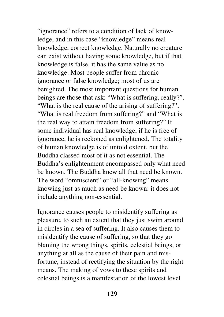"ignorance" refers to a condition of lack of knowledge, and in this case "knowledge" means real knowledge, correct knowledge. Naturally no creature can exist without having some knowledge, but if that knowledge is false, it has the same value as no knowledge. Most people suffer from chronic ignorance or false knowledge; most of us are benighted. The most important questions for human beings are those that ask: "What is suffering, really?", "What is the real cause of the arising of suffering?", "What is real freedom from suffering?" and "What is the real way to attain freedom from suffering?" If some individual has real knowledge, if he is free of ignorance, he is reckoned as enlightened. The totality of human knowledge is of untold extent, but the Buddha classed most of it as not essential. The Buddha's enlightenment encompassed only what need be known. The Buddha knew all that need be known. The word "omniscient" or "all-knowing" means knowing just as much as need be known: it does not include anything non-essential.

Ignorance causes people to misidentify suffering as pleasure, to such an extent that they just swim around in circles in a sea of suffering. It also causes them to misidentify the cause of suffering, so that they go blaming the wrong things, spirits, celestial beings, or anything at all as the cause of their pain and misfortune, instead of rectifying the situation by the right means. The making of vows to these spirits and celestial beings is a manifestation of the lowest level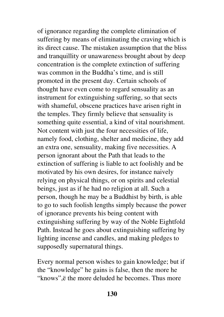of ignorance regarding the complete elimination of suffering by means of eliminating the craving which is its direct cause. The mistaken assumption that the bliss and tranquillity or unawareness brought about by deep concentration is the complete extinction of suffering was common in the Buddha's time, and is still promoted in the present day. Certain schools of thought have even come to regard sensuality as an instrument for extinguishing suffering, so that sects with shameful, obscene practices have arisen right in the temples. They firmly believe that sensuality is something quite essential, a kind of vital nourishment. Not content with just the four necessities of life, namely food, clothing, shelter and medicine, they add an extra one, sensuality, making five necessities. A person ignorant about the Path that leads to the extinction of suffering is liable to act foolishly and be motivated by his own desires, for instance naively relying on physical things, or on spirits and celestial beings, just as if he had no religion at all. Such a person, though he may be a Buddhist by birth, is able to go to such foolish lengths simply because the power of ignorance prevents his being content with extinguishing suffering by way of the Noble Eightfold Path. Instead he goes about extinguishing suffering by lighting incense and candles, and making pledges to supposedly supernatural things.

Every normal person wishes to gain knowledge; but if the "knowledge" he gains is false, then the more he "knows",ë the more deluded he becomes. Thus more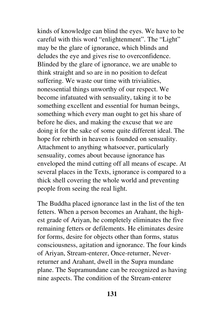kinds of knowledge can blind the eyes. We have to be careful with this word "enlightenment". The "Light" may be the glare of ignorance, which blinds and deludes the eye and gives rise to overconfidence. Blinded by the glare of ignorance, we are unable to think straight and so are in no position to defeat suffering. We waste our time with trivialities, nonessential things unworthy of our respect. We become infatuated with sensuality, taking it to be something excellent and essential for human beings, something which every man ought to get his share of before he dies, and making the excuse that we are doing it for the sake of some quite different ideal. The hope for rebirth in heaven is founded on sensuality. Attachment to anything whatsoever, particularly sensuality, comes about because ignorance has enveloped the mind cutting off all means of escape. At several places in the Texts, ignorance is compared to a thick shell covering the whole world and preventing people from seeing the real light.

The Buddha placed ignorance last in the list of the ten fetters. When a person becomes an Arahant, the highest grade of Ariyan, he completely eliminates the five remaining fetters or defilements. He eliminates desire for forms, desire for objects other than forms, status consciousness, agitation and ignorance. The four kinds of Ariyan, Stream-enterer, Once-returner, Neverreturner and Arahant, dwell in the Supra mundane plane. The Supramundane can be recognized as having nine aspects. The condition of the Stream-enterer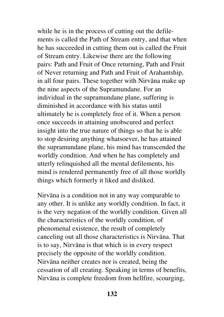while he is in the process of cutting out the defilements is called the Path of Stream entry, and that when he has succeeded in cutting them out is called the Fruit of Stream entry. Likewise there are the following pairs: Path and Fruit of Once returning, Path and Fruit of Never returning and Path and Fruit of Arahantship, in all four pairs. These together with Nirvāna make up the nine aspects of the Supramundane. For an individual in the supramundane plane, suffering is diminished in accordance with his status until ultimately he is completely free of it. When a person once succeeds in attaining unobscured and perfect insight into the true nature of things so that he is able to stop desiring anything whatsoever, he has attained the supramundane plane, his mind has transcended the worldly condition. And when he has completely and utterly relinquished all the mental defilements, his mind is rendered permanently free of all those worldly things which formerly it liked and disliked.

Nirvāna is a condition not in any way comparable to any other. It is unlike any worldly condition. In fact, it is the very negation of the worldly condition. Given all the characteristics of the worldly condition, of phenomenal existence, the result of completely canceling out all those characteristics is Nirvāna. That is to say, Nirvāna is that which is in every respect precisely the opposite of the worldly condition. Nirvāna neither creates nor is created, being the cessation of all creating. Speaking in terms of benefits, Nirvāna is complete freedom from hellfire, scourging,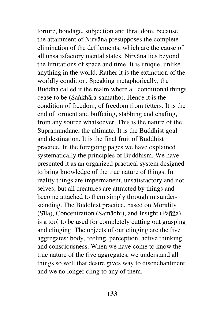torture, bondage, subjection and thralldom, because the attainment of Nirvāna presupposes the complete elimination of the defilements, which are the cause of all unsatisfactory mental states. Nirvāna lies beyond the limitations of space and time. It is unique, unlike anything in the world. Rather it is the extinction of the worldly condition. Speaking metaphorically, the Buddha called it the realm where all conditional things cease to be (Sankhāra-samatho). Hence it is the condition of freedom, of freedom from fetters. It is the end of torment and buffeting, stabbing and chafing, from any source whatsoever. This is the nature of the Supramundane, the ultimate. It is the Buddhist goal and destination. It is the final fruit of Buddhist practice. In the foregoing pages we have explained systematically the principles of Buddhism. We have presented it as an organized practical system designed to bring knowledge of the true nature of things. In reality things are impermanent, unsatisfactory and not selves; but all creatures are attracted by things and become attached to them simply through misunderstanding. The Buddhist practice, based on Morality (Sīla), Concentration (Samādhi), and Insight (Pañña), is a tool to be used for completely cutting out grasping and clinging. The objects of our clinging are the five aggregates: body, feeling, perception, active thinking and consciousness. When we have come to know the true nature of the five aggregates, we understand all things so well that desire gives way to disenchantment, and we no longer cling to any of them.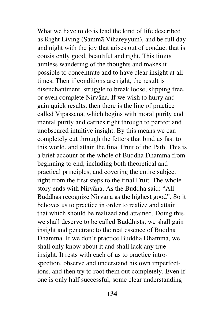What we have to do is lead the kind of life described as Right Living (Sammā Vihareyyum), and be full day and night with the joy that arises out of conduct that is consistently good, beautiful and right. This limits aimless wandering of the thoughts and makes it possible to concentrate and to have clear insight at all times. Then if conditions are right, the result is disenchantment, struggle to break loose, slipping free, or even complete Nirvāna. If we wish to hurry and gain quick results, then there is the line of practice called Vipassanā, which begins with moral purity and mental purity and carries right through to perfect and unobscured intuitive insight. By this means we can completely cut through the fetters that bind us fast to this world, and attain the final Fruit of the Path. This is a brief account of the whole of Buddha Dhamma from beginning to end, including both theoretical and practical principles, and covering the entire subject right from the first steps to the final Fruit. The whole story ends with Nirvāna. As the Buddha said: "All Buddhas recognize Nirvāna as the highest good". So it behoves us to practice in order to realize and attain that which should be realized and attained. Doing this, we shall deserve to be called Buddhists; we shall gain insight and penetrate to the real essence of Buddha Dhamma. If we don't practice Buddha Dhamma, we shall only know about it and shall lack any true insight. It rests with each of us to practice introspection, observe and understand his own imperfections, and then try to root them out completely. Even if one is only half successful, some clear understanding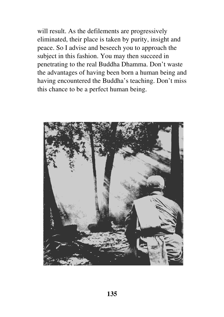will result. As the defilements are progressively eliminated, their place is taken by purity, insight and peace. So I advise and beseech you to approach the subject in this fashion. You may then succeed in penetrating to the real Buddha Dhamma. Don't waste the advantages of having been born a human being and having encountered the Buddha's teaching. Don't miss this chance to be a perfect human being.